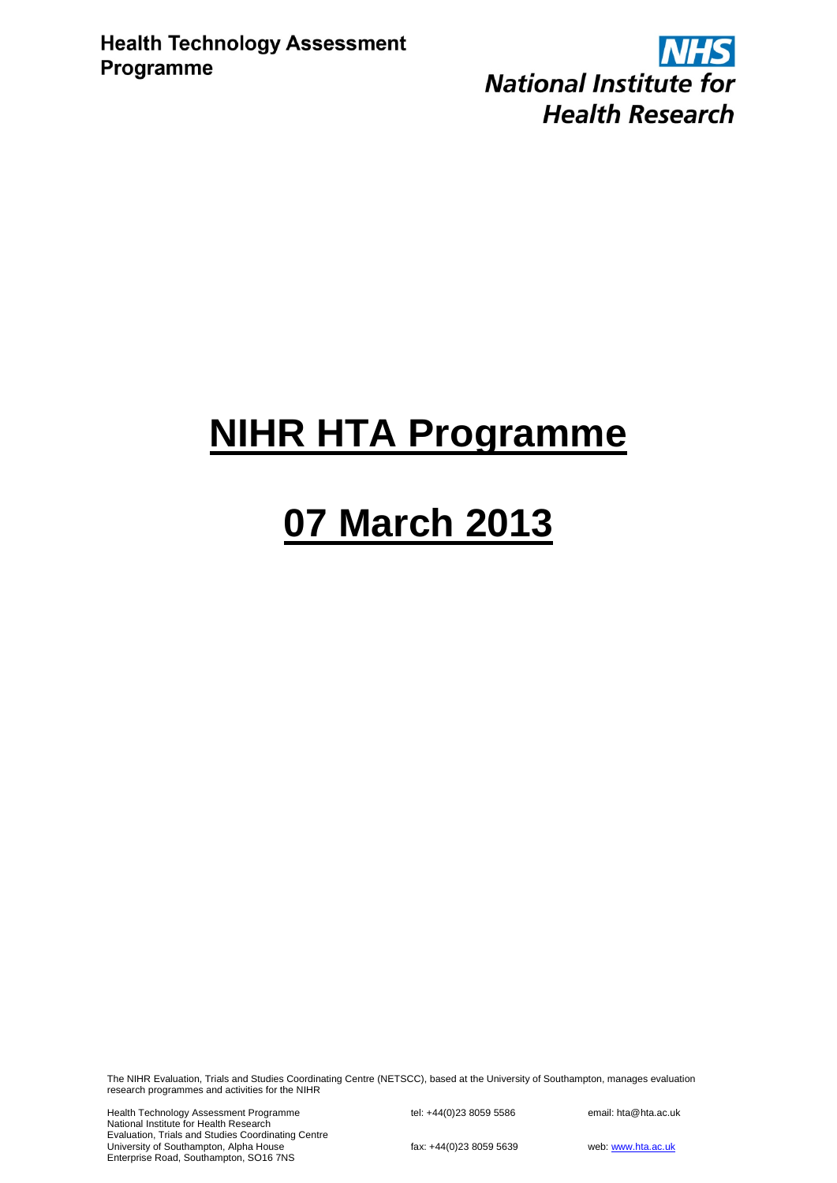**NHS National Institute for Health Research** 

## **NIHR HTA Programme**

# **07 March 2013**

The NIHR Evaluation, Trials and Studies Coordinating Centre (NETSCC), based at the University of Southampton, manages evaluation research programmes and activities for the NIHR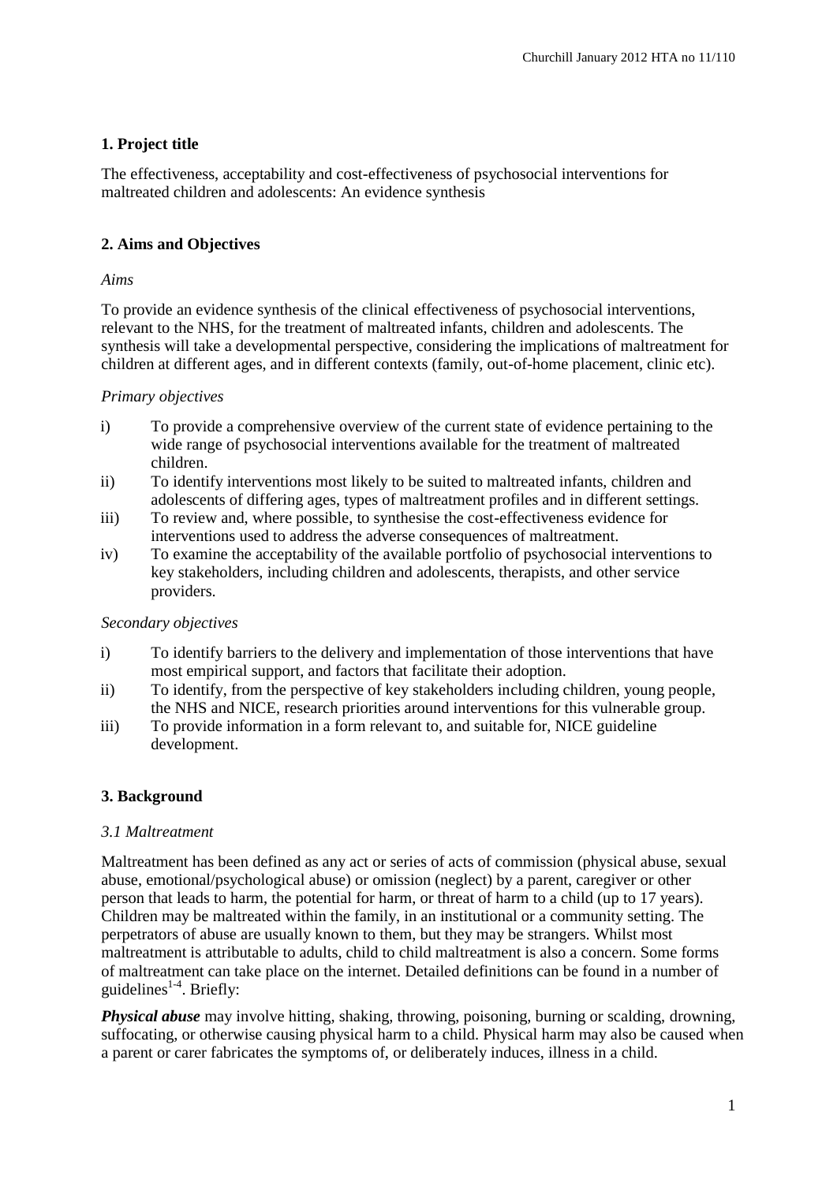## **1. Project title**

The effectiveness, acceptability and cost-effectiveness of psychosocial interventions for maltreated children and adolescents: An evidence synthesis

## **2. Aims and Objectives**

## *Aims*

To provide an evidence synthesis of the clinical effectiveness of psychosocial interventions, relevant to the NHS, for the treatment of maltreated infants, children and adolescents. The synthesis will take a developmental perspective, considering the implications of maltreatment for children at different ages, and in different contexts (family, out-of-home placement, clinic etc).

## *Primary objectives*

- i) To provide a comprehensive overview of the current state of evidence pertaining to the wide range of psychosocial interventions available for the treatment of maltreated children.
- ii) To identify interventions most likely to be suited to maltreated infants, children and adolescents of differing ages, types of maltreatment profiles and in different settings.
- iii) To review and, where possible, to synthesise the cost-effectiveness evidence for interventions used to address the adverse consequences of maltreatment.
- iv) To examine the acceptability of the available portfolio of psychosocial interventions to key stakeholders, including children and adolescents, therapists, and other service providers.

## *Secondary objectives*

- i) To identify barriers to the delivery and implementation of those interventions that have most empirical support, and factors that facilitate their adoption.
- ii) To identify, from the perspective of key stakeholders including children, young people, the NHS and NICE, research priorities around interventions for this vulnerable group.
- iii) To provide information in a form relevant to, and suitable for, NICE guideline development.

## **3. Background**

## *3.1 Maltreatment*

Maltreatment has been defined as any act or series of acts of commission (physical abuse, sexual abuse, emotional/psychological abuse) or omission (neglect) by a parent, caregiver or other person that leads to harm, the potential for harm, or threat of harm to a child (up to 17 years). Children may be maltreated within the family, in an institutional or a community setting. The perpetrators of abuse are usually known to them, but they may be strangers. Whilst most maltreatment is attributable to adults, child to child maltreatment is also a concern. Some forms of maltreatment can take place on the internet. Detailed definitions can be found in a number of guidelines $1-4$ . Briefly:

*Physical abuse* may involve hitting, shaking, throwing, poisoning, burning or scalding, drowning, suffocating, or otherwise causing physical harm to a child. Physical harm may also be caused when a parent or carer fabricates the symptoms of, or deliberately induces, illness in a child.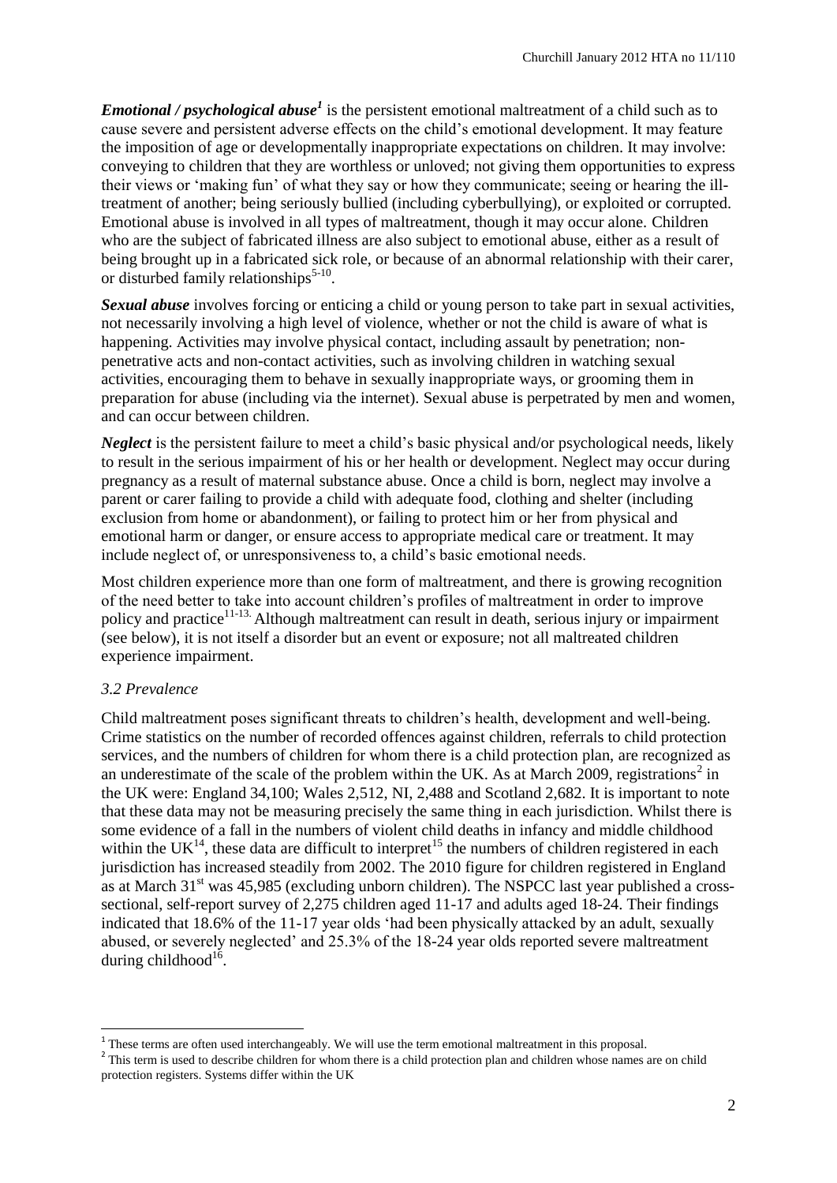*Emotional / psychological abuse<sup>1</sup>* is the persistent emotional maltreatment of a child such as to cause severe and persistent adverse effects on the child's emotional development. It may feature the imposition of age or developmentally inappropriate expectations on children. It may involve: conveying to children that they are worthless or unloved; not giving them opportunities to express their views or 'making fun' of what they say or how they communicate; seeing or hearing the illtreatment of another; being seriously bullied (including cyberbullying), or exploited or corrupted. Emotional abuse is involved in all types of maltreatment, though it may occur alone. Children who are the subject of fabricated illness are also subject to emotional abuse, either as a result of being brought up in a fabricated sick role, or because of an abnormal relationship with their carer, or disturbed family relationships $5-10$ .

*Sexual abuse* involves forcing or enticing a child or young person to take part in sexual activities, not necessarily involving a high level of violence, whether or not the child is aware of what is happening. Activities may involve physical contact, including assault by penetration; nonpenetrative acts and non-contact activities, such as involving children in watching sexual activities, encouraging them to behave in sexually inappropriate ways, or grooming them in preparation for abuse (including via the internet). Sexual abuse is perpetrated by men and women, and can occur between children.

*Neglect* is the persistent failure to meet a child's basic physical and/or psychological needs, likely to result in the serious impairment of his or her health or development. Neglect may occur during pregnancy as a result of maternal substance abuse. Once a child is born, neglect may involve a parent or carer failing to provide a child with adequate food, clothing and shelter (including exclusion from home or abandonment), or failing to protect him or her from physical and emotional harm or danger, or ensure access to appropriate medical care or treatment. It may include neglect of, or unresponsiveness to, a child's basic emotional needs.

Most children experience more than one form of maltreatment, and there is growing recognition of the need better to take into account children's profiles of maltreatment in order to improve policy and practice<sup>11-13</sup>. Although maltreatment can result in death, serious injury or impairment (see below), it is not itself a disorder but an event or exposure; not all maltreated children experience impairment.

## *3.2 Prevalence*

Child maltreatment poses significant threats to children's health, development and well-being. Crime statistics on the number of recorded offences against children, referrals to child protection services, and the numbers of children for whom there is a child protection plan, are recognized as an underestimate of the scale of the problem within the UK. As at March 2009, registrations<sup>2</sup> in the UK were: England 34,100; Wales 2,512, NI, 2,488 and Scotland 2,682. It is important to note that these data may not be measuring precisely the same thing in each jurisdiction. Whilst there is some evidence of a fall in the numbers of violent child deaths in infancy and middle childhood within the  $UK^{14}$ , these data are difficult to interpret<sup>15</sup> the numbers of children registered in each jurisdiction has increased steadily from 2002. The 2010 figure for children registered in England as at March 31<sup>st</sup> was 45,985 (excluding unborn children). The NSPCC last year published a crosssectional, self-report survey of 2,275 children aged 11-17 and adults aged 18-24. Their findings indicated that 18.6% of the 11-17 year olds 'had been physically attacked by an adult, sexually abused, or severely neglected' and 25.3% of the 18-24 year olds reported severe maltreatment during childhood<sup>16</sup>.

These terms are often used interchangeably. We will use the term emotional maltreatment in this proposal.

<sup>&</sup>lt;sup>2</sup> This term is used to describe children for whom there is a child protection plan and children whose names are on child protection registers. Systems differ within the UK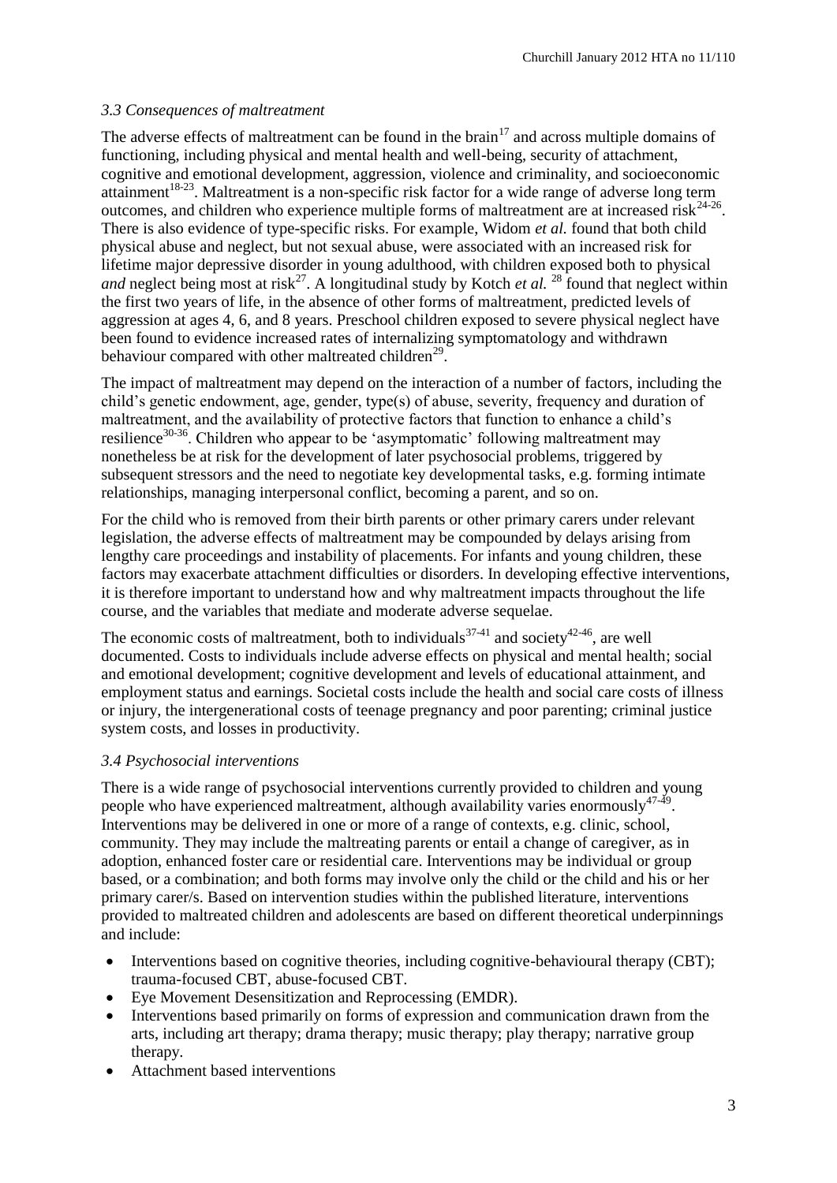## *3.3 Consequences of maltreatment*

The adverse effects of maltreatment can be found in the brain<sup>17</sup> and across multiple domains of functioning, including physical and mental health and well-being, security of attachment, cognitive and emotional development, aggression, violence and criminality, and socioeconomic attainment<sup>18-23</sup>. Maltreatment is a non-specific risk factor for a wide range of adverse long term outcomes, and children who experience multiple forms of maltreatment are at increased risk<sup>24-26</sup>. There is also evidence of type-specific risks. For example, Widom *et al.* found that both child physical abuse and neglect, but not sexual abuse, were associated with an increased risk for lifetime major depressive disorder in young adulthood, with children exposed both to physical *and* neglect being most at risk<sup>27</sup>. A longitudinal study by Kotch *et al.* <sup>28</sup> found that neglect within the first two years of life, in the absence of other forms of maltreatment, predicted levels of aggression at ages 4, 6, and 8 years. Preschool children exposed to severe physical neglect have been found to evidence increased rates of internalizing symptomatology and withdrawn behaviour compared with other maltreated children<sup>29</sup>.

The impact of maltreatment may depend on the interaction of a number of factors, including the child's genetic endowment, age, gender, type(s) of abuse, severity, frequency and duration of maltreatment, and the availability of protective factors that function to enhance a child's resilience<sup>30-36</sup>. Children who appear to be 'asymptomatic' following maltreatment may nonetheless be at risk for the development of later psychosocial problems, triggered by subsequent stressors and the need to negotiate key developmental tasks, e.g. forming intimate relationships, managing interpersonal conflict, becoming a parent, and so on.

For the child who is removed from their birth parents or other primary carers under relevant legislation, the adverse effects of maltreatment may be compounded by delays arising from lengthy care proceedings and instability of placements. For infants and young children, these factors may exacerbate attachment difficulties or disorders. In developing effective interventions, it is therefore important to understand how and why maltreatment impacts throughout the life course, and the variables that mediate and moderate adverse sequelae.

The economic costs of maltreatment, both to individuals<sup>37-41</sup> and society<sup>42-46</sup>, are well documented. Costs to individuals include adverse effects on physical and mental health; social and emotional development; cognitive development and levels of educational attainment, and employment status and earnings. Societal costs include the health and social care costs of illness or injury, the intergenerational costs of teenage pregnancy and poor parenting; criminal justice system costs, and losses in productivity.

## *3.4 Psychosocial interventions*

There is a wide range of psychosocial interventions currently provided to children and young people who have experienced maltreatment, although availability varies enormously  $47-49$ . Interventions may be delivered in one or more of a range of contexts, e.g. clinic, school, community. They may include the maltreating parents or entail a change of caregiver, as in adoption, enhanced foster care or residential care. Interventions may be individual or group based, or a combination; and both forms may involve only the child or the child and his or her primary carer/s. Based on intervention studies within the published literature, interventions provided to maltreated children and adolescents are based on different theoretical underpinnings and include:

- Interventions based on cognitive theories, including cognitive-behavioural therapy (CBT); trauma-focused CBT, abuse-focused CBT.
- Eye Movement Desensitization and Reprocessing (EMDR).
- Interventions based primarily on forms of expression and communication drawn from the arts, including art therapy; drama therapy; music therapy; play therapy; narrative group therapy.
- Attachment based interventions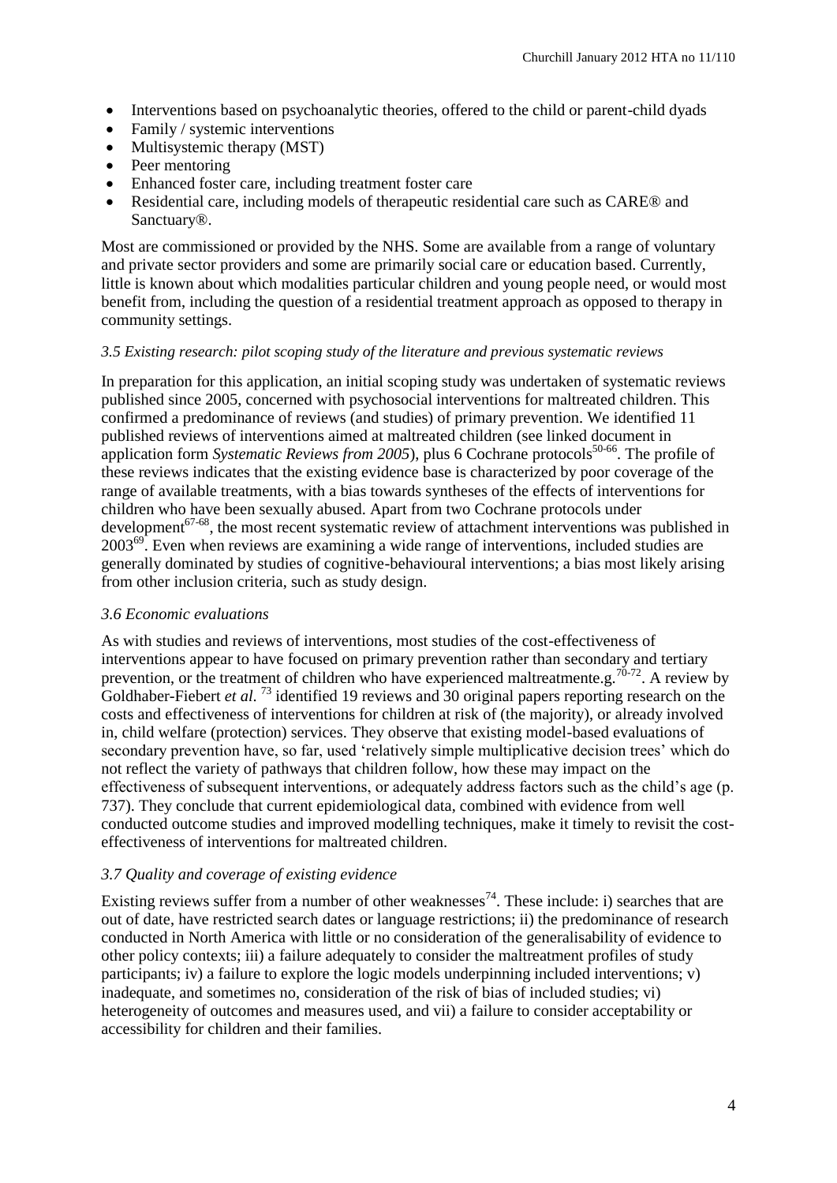- Interventions based on psychoanalytic theories, offered to the child or parent-child dyads
- Family / systemic interventions
- Multisystemic therapy (MST)
- Peer mentoring
- Enhanced foster care, including treatment foster care
- Residential care, including models of therapeutic residential care such as CARE® and Sanctuary®.

Most are commissioned or provided by the NHS. Some are available from a range of voluntary and private sector providers and some are primarily social care or education based. Currently, little is known about which modalities particular children and young people need, or would most benefit from, including the question of a residential treatment approach as opposed to therapy in community settings.

## *3.5 Existing research: pilot scoping study of the literature and previous systematic reviews*

In preparation for this application, an initial scoping study was undertaken of systematic reviews published since 2005, concerned with psychosocial interventions for maltreated children. This confirmed a predominance of reviews (and studies) of primary prevention. We identified 11 published reviews of interventions aimed at maltreated children (see linked document in application form *Systematic Reviews from 2005*), plus 6 Cochrane protocols<sup>50-66</sup>. The profile of these reviews indicates that the existing evidence base is characterized by poor coverage of the range of available treatments, with a bias towards syntheses of the effects of interventions for children who have been sexually abused. Apart from two Cochrane protocols under development<sup>67-68</sup>, the most recent systematic review of attachment interventions was published in  $2003^{69}$ . Even when reviews are examining a wide range of interventions, included studies are generally dominated by studies of cognitive-behavioural interventions; a bias most likely arising from other inclusion criteria, such as study design.

## *3.6 Economic evaluations*

As with studies and reviews of interventions, most studies of the cost-effectiveness of interventions appear to have focused on primary prevention rather than secondary and tertiary prevention, or the treatment of children who have experienced maltreatmente.g.<sup>70-72</sup>. A review by Goldhaber-Fiebert *et al.* <sup>73</sup> identified 19 reviews and 30 original papers reporting research on the costs and effectiveness of interventions for children at risk of (the majority), or already involved in, child welfare (protection) services. They observe that existing model-based evaluations of secondary prevention have, so far, used 'relatively simple multiplicative decision trees' which do not reflect the variety of pathways that children follow, how these may impact on the effectiveness of subsequent interventions, or adequately address factors such as the child's age (p. 737). They conclude that current epidemiological data, combined with evidence from well conducted outcome studies and improved modelling techniques, make it timely to revisit the costeffectiveness of interventions for maltreated children.

## *3.7 Quality and coverage of existing evidence*

Existing reviews suffer from a number of other weaknesses<sup>74</sup>. These include: i) searches that are out of date, have restricted search dates or language restrictions; ii) the predominance of research conducted in North America with little or no consideration of the generalisability of evidence to other policy contexts; iii) a failure adequately to consider the maltreatment profiles of study participants; iv) a failure to explore the logic models underpinning included interventions; v) inadequate, and sometimes no, consideration of the risk of bias of included studies; vi) heterogeneity of outcomes and measures used, and vii) a failure to consider acceptability or accessibility for children and their families.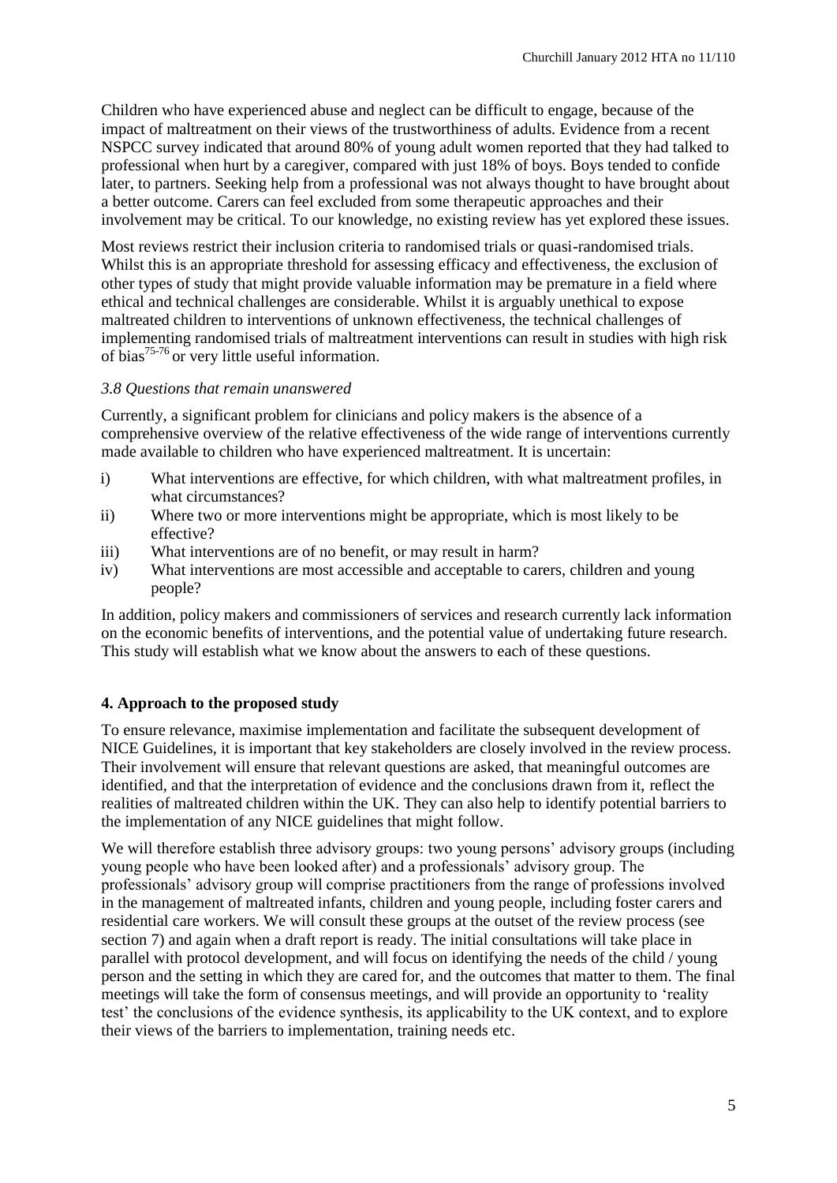Children who have experienced abuse and neglect can be difficult to engage, because of the impact of maltreatment on their views of the trustworthiness of adults. Evidence from a recent NSPCC survey indicated that around 80% of young adult women reported that they had talked to professional when hurt by a caregiver, compared with just 18% of boys. Boys tended to confide later, to partners. Seeking help from a professional was not always thought to have brought about a better outcome. Carers can feel excluded from some therapeutic approaches and their involvement may be critical. To our knowledge, no existing review has yet explored these issues.

Most reviews restrict their inclusion criteria to randomised trials or quasi-randomised trials. Whilst this is an appropriate threshold for assessing efficacy and effectiveness, the exclusion of other types of study that might provide valuable information may be premature in a field where ethical and technical challenges are considerable. Whilst it is arguably unethical to expose maltreated children to interventions of unknown effectiveness, the technical challenges of implementing randomised trials of maltreatment interventions can result in studies with high risk of bias75-76 or very little useful information.

## *3.8 Questions that remain unanswered*

Currently, a significant problem for clinicians and policy makers is the absence of a comprehensive overview of the relative effectiveness of the wide range of interventions currently made available to children who have experienced maltreatment. It is uncertain:

- i) What interventions are effective, for which children, with what maltreatment profiles, in what circumstances?
- ii) Where two or more interventions might be appropriate, which is most likely to be effective?
- iii) What interventions are of no benefit, or may result in harm?
- iv) What interventions are most accessible and acceptable to carers, children and young people?

In addition, policy makers and commissioners of services and research currently lack information on the economic benefits of interventions, and the potential value of undertaking future research. This study will establish what we know about the answers to each of these questions.

## **4. Approach to the proposed study**

To ensure relevance, maximise implementation and facilitate the subsequent development of NICE Guidelines, it is important that key stakeholders are closely involved in the review process. Their involvement will ensure that relevant questions are asked, that meaningful outcomes are identified, and that the interpretation of evidence and the conclusions drawn from it, reflect the realities of maltreated children within the UK. They can also help to identify potential barriers to the implementation of any NICE guidelines that might follow.

We will therefore establish three advisory groups: two young persons' advisory groups (including young people who have been looked after) and a professionals' advisory group. The professionals' advisory group will comprise practitioners from the range of professions involved in the management of maltreated infants, children and young people, including foster carers and residential care workers. We will consult these groups at the outset of the review process (see section 7) and again when a draft report is ready. The initial consultations will take place in parallel with protocol development, and will focus on identifying the needs of the child / young person and the setting in which they are cared for, and the outcomes that matter to them. The final meetings will take the form of consensus meetings, and will provide an opportunity to 'reality test' the conclusions of the evidence synthesis, its applicability to the UK context, and to explore their views of the barriers to implementation, training needs etc.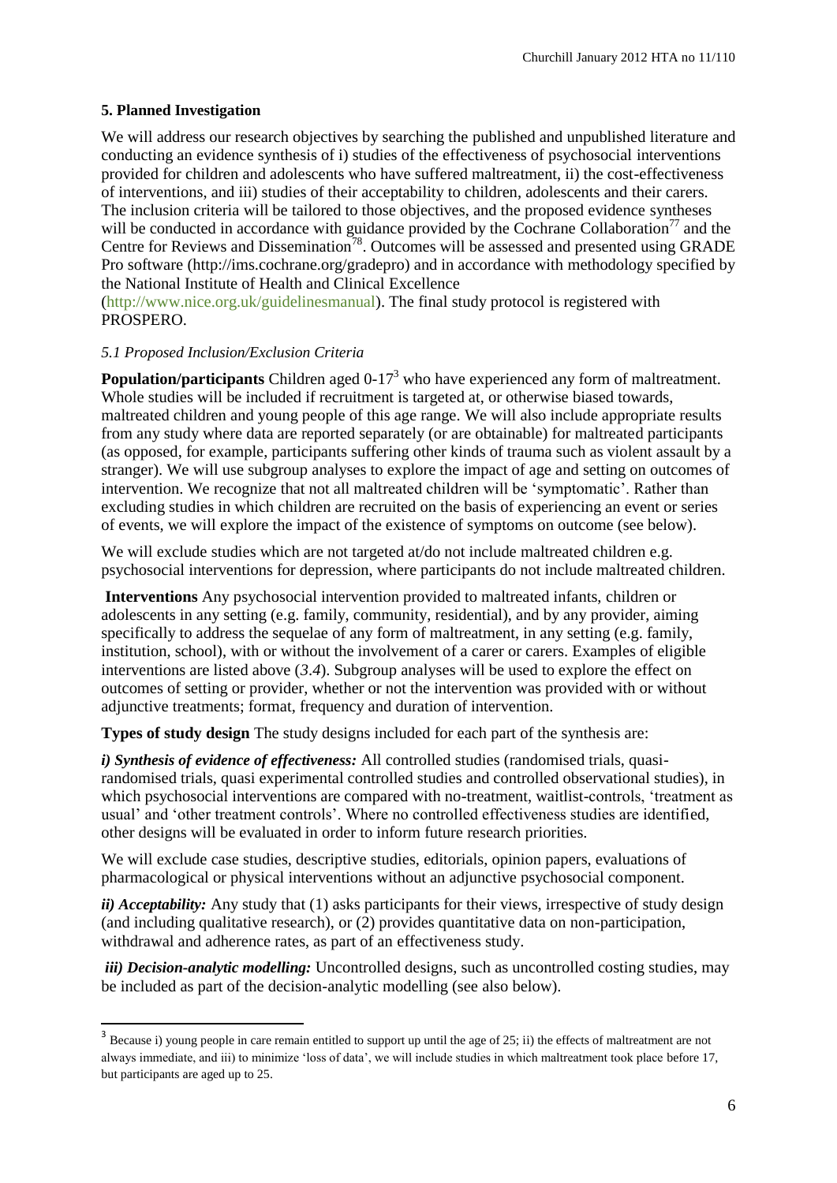## **5. Planned Investigation**

1

We will address our research objectives by searching the published and unpublished literature and conducting an evidence synthesis of i) studies of the effectiveness of psychosocial interventions provided for children and adolescents who have suffered maltreatment, ii) the cost-effectiveness of interventions, and iii) studies of their acceptability to children, adolescents and their carers. The inclusion criteria will be tailored to those objectives, and the proposed evidence syntheses will be conducted in accordance with guidance provided by the Cochrane Collaboration<sup>77</sup> and the Centre for Reviews and Dissemination<sup>78</sup>. Outcomes will be assessed and presented using GRADE Pro software (http://ims.cochrane.org/gradepro) and in accordance with methodology specified by the National Institute of Health and Clinical Excellence

(http://www.nice.org.uk/guidelinesmanual). The final study protocol is registered with PROSPERO.

## *5.1 Proposed Inclusion/Exclusion Criteria*

**Population/participants** Children aged 0-17<sup>3</sup> who have experienced any form of maltreatment. Whole studies will be included if recruitment is targeted at, or otherwise biased towards, maltreated children and young people of this age range. We will also include appropriate results from any study where data are reported separately (or are obtainable) for maltreated participants (as opposed, for example, participants suffering other kinds of trauma such as violent assault by a stranger). We will use subgroup analyses to explore the impact of age and setting on outcomes of intervention. We recognize that not all maltreated children will be 'symptomatic'. Rather than excluding studies in which children are recruited on the basis of experiencing an event or series of events, we will explore the impact of the existence of symptoms on outcome (see below).

We will exclude studies which are not targeted at/do not include maltreated children e.g. psychosocial interventions for depression, where participants do not include maltreated children.

**Interventions** Any psychosocial intervention provided to maltreated infants, children or adolescents in any setting (e.g. family, community, residential), and by any provider, aiming specifically to address the sequelae of any form of maltreatment, in any setting (e.g. family, institution, school), with or without the involvement of a carer or carers. Examples of eligible interventions are listed above (*3*.*4*). Subgroup analyses will be used to explore the effect on outcomes of setting or provider, whether or not the intervention was provided with or without adjunctive treatments; format, frequency and duration of intervention.

**Types of study design** The study designs included for each part of the synthesis are:

*i) Synthesis of evidence of effectiveness:* All controlled studies (randomised trials, quasirandomised trials, quasi experimental controlled studies and controlled observational studies), in which psychosocial interventions are compared with no-treatment, waitlist-controls, 'treatment as usual' and 'other treatment controls'. Where no controlled effectiveness studies are identified, other designs will be evaluated in order to inform future research priorities.

We will exclude case studies, descriptive studies, editorials, opinion papers, evaluations of pharmacological or physical interventions without an adjunctive psychosocial component.

*ii) Acceptability:* Any study that (1) asks participants for their views, irrespective of study design (and including qualitative research), or (2) provides quantitative data on non-participation, withdrawal and adherence rates, as part of an effectiveness study.

*iii) Decision-analytic modelling:* Uncontrolled designs, such as uncontrolled costing studies, may be included as part of the decision-analytic modelling (see also below).

 $3$  Because i) young people in care remain entitled to support up until the age of 25; ii) the effects of maltreatment are not always immediate, and iii) to minimize 'loss of data', we will include studies in which maltreatment took place before 17, but participants are aged up to 25.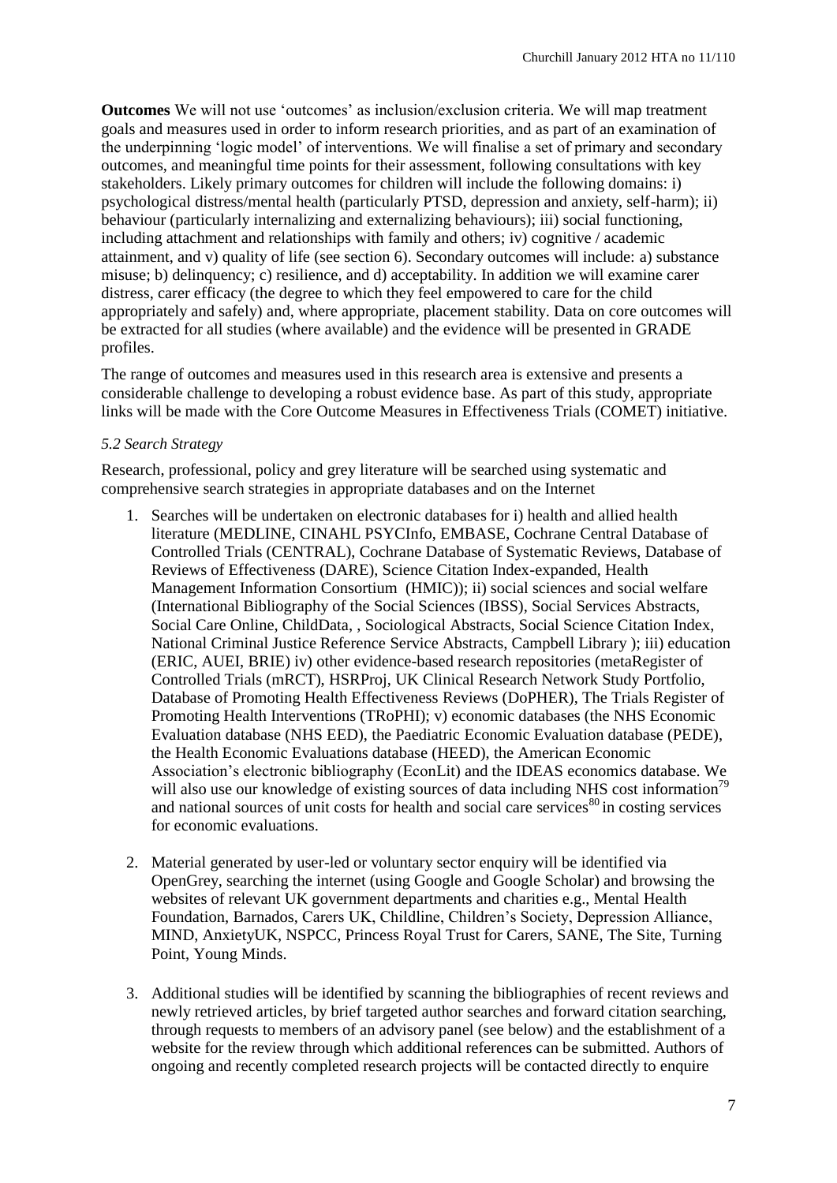**Outcomes** We will not use 'outcomes' as inclusion/exclusion criteria. We will map treatment goals and measures used in order to inform research priorities, and as part of an examination of the underpinning 'logic model' of interventions. We will finalise a set of primary and secondary outcomes, and meaningful time points for their assessment, following consultations with key stakeholders. Likely primary outcomes for children will include the following domains: i) psychological distress/mental health (particularly PTSD, depression and anxiety, self-harm); ii) behaviour (particularly internalizing and externalizing behaviours); iii) social functioning, including attachment and relationships with family and others; iv) cognitive / academic attainment, and v) quality of life (see section 6). Secondary outcomes will include: a) substance misuse; b) delinquency; c) resilience, and d) acceptability. In addition we will examine carer distress, carer efficacy (the degree to which they feel empowered to care for the child appropriately and safely) and, where appropriate, placement stability. Data on core outcomes will be extracted for all studies (where available) and the evidence will be presented in GRADE profiles.

The range of outcomes and measures used in this research area is extensive and presents a considerable challenge to developing a robust evidence base. As part of this study, appropriate links will be made with the Core Outcome Measures in Effectiveness Trials (COMET) initiative.

#### *5.2 Search Strategy*

Research, professional, policy and grey literature will be searched using systematic and comprehensive search strategies in appropriate databases and on the Internet

- 1. Searches will be undertaken on electronic databases for i) health and allied health literature (MEDLINE, CINAHL PSYCInfo, EMBASE, Cochrane Central Database of Controlled Trials (CENTRAL), Cochrane Database of Systematic Reviews, Database of Reviews of Effectiveness (DARE), Science Citation Index-expanded, Health Management Information Consortium (HMIC)); ii) social sciences and social welfare (International Bibliography of the Social Sciences (IBSS), Social Services Abstracts, Social Care Online, ChildData, , Sociological Abstracts, Social Science Citation Index, National Criminal Justice Reference Service Abstracts, Campbell Library ); iii) education (ERIC, AUEI, BRIE) iv) other evidence-based research repositories (metaRegister of Controlled Trials (mRCT), HSRProj, UK Clinical Research Network Study Portfolio, Database of Promoting Health Effectiveness Reviews (DoPHER), The Trials Register of Promoting Health Interventions (TRoPHI); v) economic databases (the NHS Economic Evaluation database (NHS EED), the Paediatric Economic Evaluation database (PEDE), the Health Economic Evaluations database (HEED), the American Economic Association's electronic bibliography (EconLit) and the IDEAS economics database. We will also use our knowledge of existing sources of data including NHS cost information<sup>79</sup> and national sources of unit costs for health and social care services $80$  in costing services for economic evaluations.
- 2. Material generated by user-led or voluntary sector enquiry will be identified via OpenGrey, searching the internet (using Google and Google Scholar) and browsing the websites of relevant UK government departments and charities e.g., Mental Health Foundation, Barnados, Carers UK, Childline, Children's Society, Depression Alliance, MIND, AnxietyUK, NSPCC, Princess Royal Trust for Carers, SANE, The Site, Turning Point, Young Minds.
- 3. Additional studies will be identified by scanning the bibliographies of recent reviews and newly retrieved articles, by brief targeted author searches and forward citation searching, through requests to members of an advisory panel (see below) and the establishment of a website for the review through which additional references can be submitted. Authors of ongoing and recently completed research projects will be contacted directly to enquire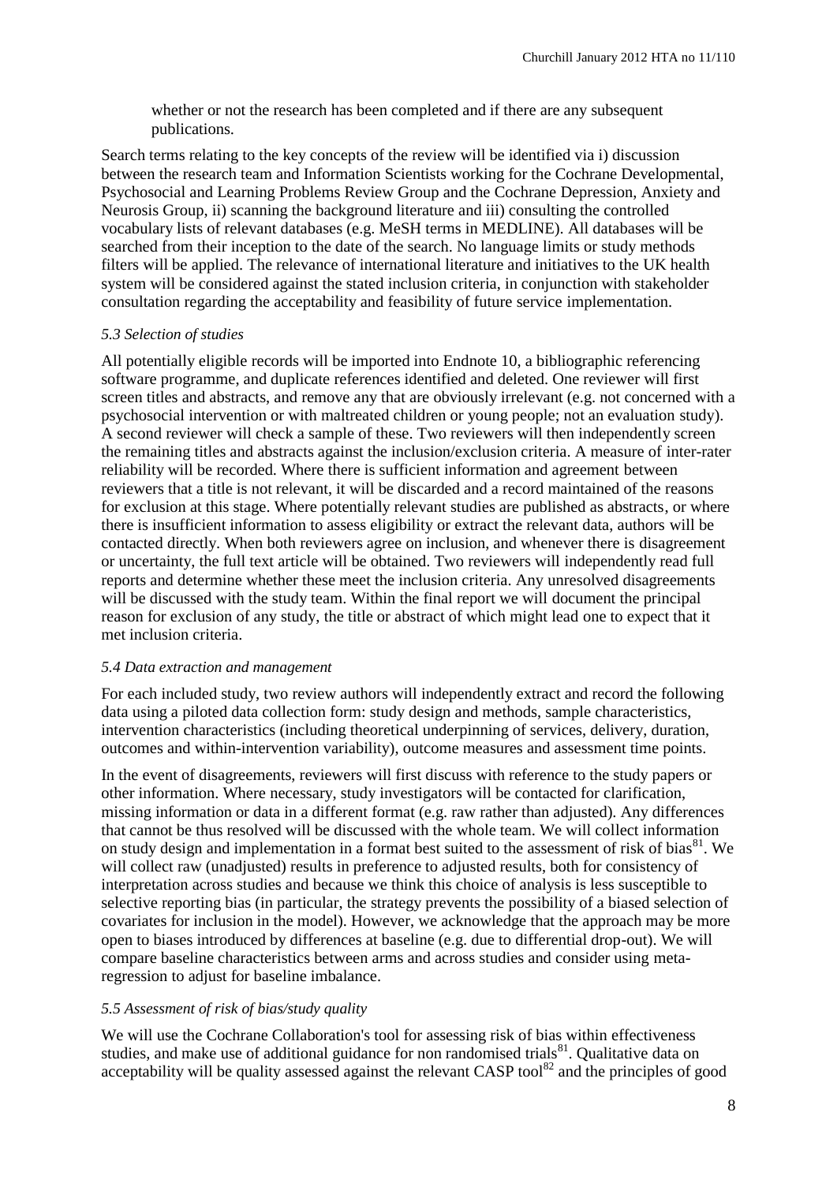whether or not the research has been completed and if there are any subsequent publications.

Search terms relating to the key concepts of the review will be identified via i) discussion between the research team and Information Scientists working for the Cochrane Developmental, Psychosocial and Learning Problems Review Group and the Cochrane Depression, Anxiety and Neurosis Group, ii) scanning the background literature and iii) consulting the controlled vocabulary lists of relevant databases (e.g. MeSH terms in MEDLINE). All databases will be searched from their inception to the date of the search. No language limits or study methods filters will be applied. The relevance of international literature and initiatives to the UK health system will be considered against the stated inclusion criteria, in conjunction with stakeholder consultation regarding the acceptability and feasibility of future service implementation.

#### *5.3 Selection of studies*

All potentially eligible records will be imported into Endnote 10, a bibliographic referencing software programme, and duplicate references identified and deleted. One reviewer will first screen titles and abstracts, and remove any that are obviously irrelevant (e.g. not concerned with a psychosocial intervention or with maltreated children or young people; not an evaluation study). A second reviewer will check a sample of these. Two reviewers will then independently screen the remaining titles and abstracts against the inclusion/exclusion criteria. A measure of inter-rater reliability will be recorded. Where there is sufficient information and agreement between reviewers that a title is not relevant, it will be discarded and a record maintained of the reasons for exclusion at this stage. Where potentially relevant studies are published as abstracts, or where there is insufficient information to assess eligibility or extract the relevant data, authors will be contacted directly. When both reviewers agree on inclusion, and whenever there is disagreement or uncertainty, the full text article will be obtained. Two reviewers will independently read full reports and determine whether these meet the inclusion criteria. Any unresolved disagreements will be discussed with the study team. Within the final report we will document the principal reason for exclusion of any study, the title or abstract of which might lead one to expect that it met inclusion criteria.

#### *5.4 Data extraction and management*

For each included study, two review authors will independently extract and record the following data using a piloted data collection form: study design and methods, sample characteristics, intervention characteristics (including theoretical underpinning of services, delivery, duration, outcomes and within-intervention variability), outcome measures and assessment time points.

In the event of disagreements, reviewers will first discuss with reference to the study papers or other information. Where necessary, study investigators will be contacted for clarification, missing information or data in a different format (e.g. raw rather than adjusted). Any differences that cannot be thus resolved will be discussed with the whole team. We will collect information on study design and implementation in a format best suited to the assessment of risk of bias<sup>81</sup>. We will collect raw (unadjusted) results in preference to adjusted results, both for consistency of interpretation across studies and because we think this choice of analysis is less susceptible to selective reporting bias (in particular, the strategy prevents the possibility of a biased selection of covariates for inclusion in the model). However, we acknowledge that the approach may be more open to biases introduced by differences at baseline (e.g. due to differential drop-out). We will compare baseline characteristics between arms and across studies and consider using metaregression to adjust for baseline imbalance.

## *5.5 Assessment of risk of bias/study quality*

We will use the Cochrane Collaboration's tool for assessing risk of bias within effectiveness studies, and make use of additional guidance for non randomised trials<sup>81</sup>. Qualitative data on acceptability will be quality assessed against the relevant CASP tool<sup>82</sup> and the principles of good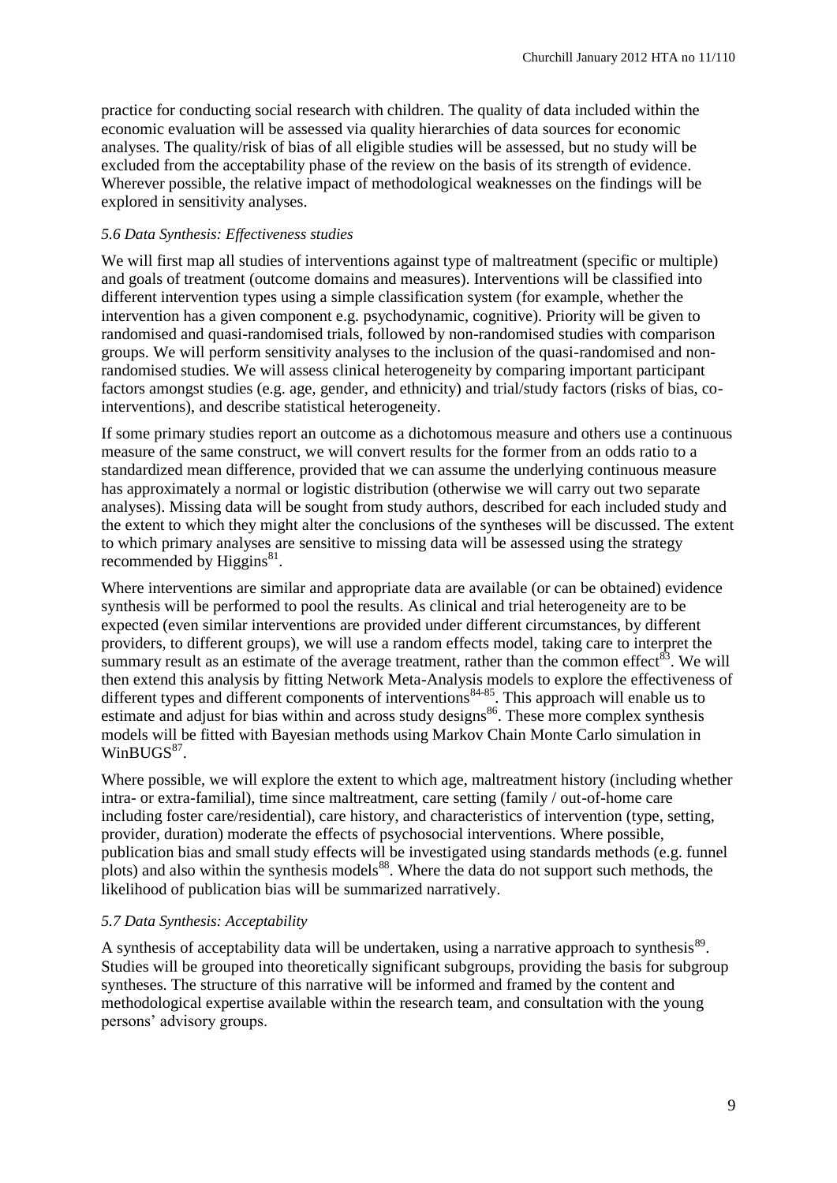practice for conducting social research with children. The quality of data included within the economic evaluation will be assessed via quality hierarchies of data sources for economic analyses. The quality/risk of bias of all eligible studies will be assessed, but no study will be excluded from the acceptability phase of the review on the basis of its strength of evidence. Wherever possible, the relative impact of methodological weaknesses on the findings will be explored in sensitivity analyses.

#### *5.6 Data Synthesis: Effectiveness studies*

We will first map all studies of interventions against type of maltreatment (specific or multiple) and goals of treatment (outcome domains and measures). Interventions will be classified into different intervention types using a simple classification system (for example, whether the intervention has a given component e.g. psychodynamic, cognitive). Priority will be given to randomised and quasi-randomised trials, followed by non-randomised studies with comparison groups. We will perform sensitivity analyses to the inclusion of the quasi-randomised and nonrandomised studies. We will assess clinical heterogeneity by comparing important participant factors amongst studies (e.g. age, gender, and ethnicity) and trial/study factors (risks of bias, cointerventions), and describe statistical heterogeneity.

If some primary studies report an outcome as a dichotomous measure and others use a continuous measure of the same construct, we will convert results for the former from an odds ratio to a standardized mean difference, provided that we can assume the underlying continuous measure has approximately a normal or logistic distribution (otherwise we will carry out two separate analyses). Missing data will be sought from study authors, described for each included study and the extent to which they might alter the conclusions of the syntheses will be discussed. The extent to which primary analyses are sensitive to missing data will be assessed using the strategy recommended by Higgins $^{81}$ .

Where interventions are similar and appropriate data are available (or can be obtained) evidence synthesis will be performed to pool the results. As clinical and trial heterogeneity are to be expected (even similar interventions are provided under different circumstances, by different providers, to different groups), we will use a random effects model, taking care to interpret the summary result as an estimate of the average treatment, rather than the common effect<sup>83</sup>. We will then extend this analysis by fitting Network Meta-Analysis models to explore the effectiveness of different types and different components of interventions<sup>84-85</sup>. This approach will enable us to estimate and adjust for bias within and across study designs<sup>86</sup>. These more complex synthesis models will be fitted with Bayesian methods using Markov Chain Monte Carlo simulation in WinBUGS<sup>87</sup>.

Where possible, we will explore the extent to which age, maltreatment history (including whether intra- or extra-familial), time since maltreatment, care setting (family / out-of-home care including foster care/residential), care history, and characteristics of intervention (type, setting, provider, duration) moderate the effects of psychosocial interventions. Where possible, publication bias and small study effects will be investigated using standards methods (e.g. funnel plots) and also within the synthesis models<sup>88</sup>. Where the data do not support such methods, the likelihood of publication bias will be summarized narratively.

## *5.7 Data Synthesis: Acceptability*

A synthesis of acceptability data will be undertaken, using a narrative approach to synthesis<sup>89</sup>. Studies will be grouped into theoretically significant subgroups, providing the basis for subgroup syntheses. The structure of this narrative will be informed and framed by the content and methodological expertise available within the research team, and consultation with the young persons' advisory groups.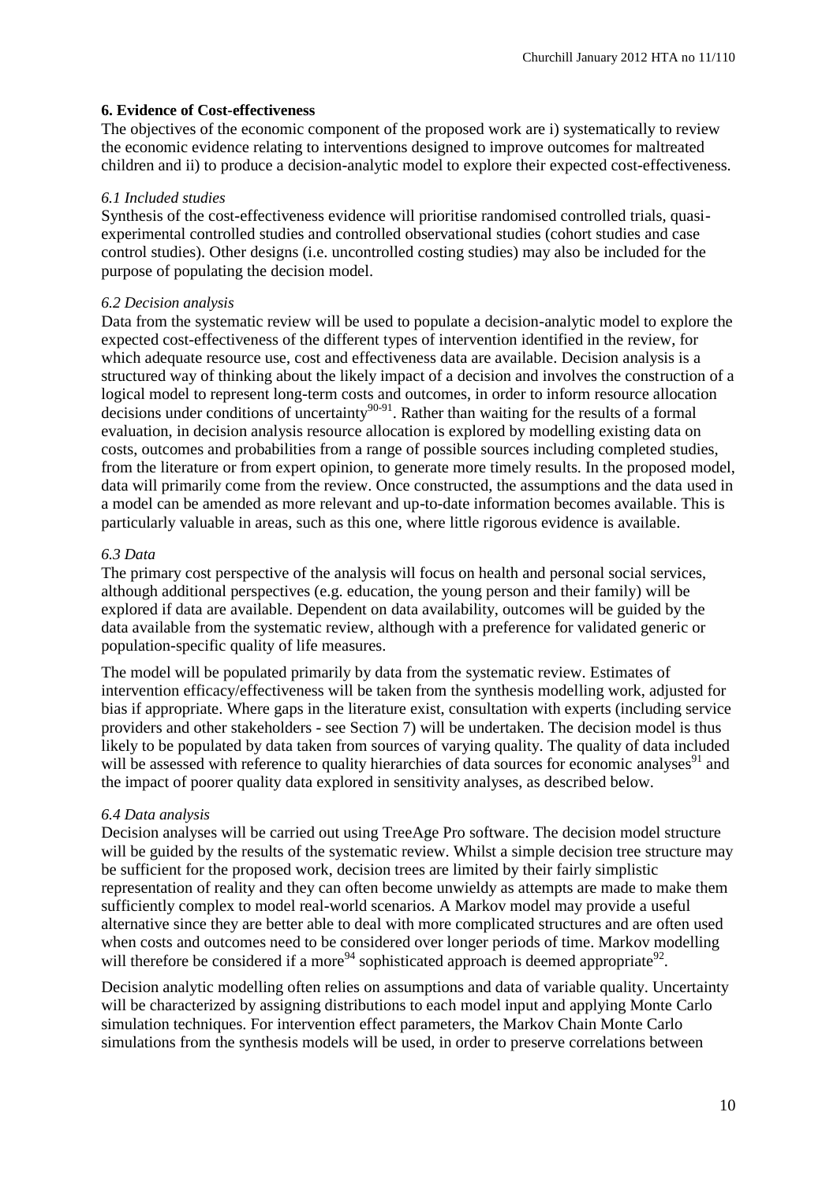#### **6. Evidence of Cost-effectiveness**

The objectives of the economic component of the proposed work are i) systematically to review the economic evidence relating to interventions designed to improve outcomes for maltreated children and ii) to produce a decision-analytic model to explore their expected cost-effectiveness.

#### *6.1 Included studies*

Synthesis of the cost-effectiveness evidence will prioritise randomised controlled trials, quasiexperimental controlled studies and controlled observational studies (cohort studies and case control studies). Other designs (i.e. uncontrolled costing studies) may also be included for the purpose of populating the decision model.

#### *6.2 Decision analysis*

Data from the systematic review will be used to populate a decision-analytic model to explore the expected cost-effectiveness of the different types of intervention identified in the review, for which adequate resource use, cost and effectiveness data are available. Decision analysis is a structured way of thinking about the likely impact of a decision and involves the construction of a logical model to represent long-term costs and outcomes, in order to inform resource allocation decisions under conditions of uncertainty<sup>90-91</sup>. Rather than waiting for the results of a formal evaluation, in decision analysis resource allocation is explored by modelling existing data on costs, outcomes and probabilities from a range of possible sources including completed studies, from the literature or from expert opinion, to generate more timely results. In the proposed model, data will primarily come from the review. Once constructed, the assumptions and the data used in a model can be amended as more relevant and up-to-date information becomes available. This is particularly valuable in areas, such as this one, where little rigorous evidence is available.

#### *6.3 Data*

The primary cost perspective of the analysis will focus on health and personal social services, although additional perspectives (e.g. education, the young person and their family) will be explored if data are available. Dependent on data availability, outcomes will be guided by the data available from the systematic review, although with a preference for validated generic or population-specific quality of life measures.

The model will be populated primarily by data from the systematic review. Estimates of intervention efficacy/effectiveness will be taken from the synthesis modelling work, adjusted for bias if appropriate. Where gaps in the literature exist, consultation with experts (including service providers and other stakeholders - see Section 7) will be undertaken. The decision model is thus likely to be populated by data taken from sources of varying quality. The quality of data included will be assessed with reference to quality hierarchies of data sources for economic analyses<sup>91</sup> and the impact of poorer quality data explored in sensitivity analyses, as described below.

#### *6.4 Data analysis*

Decision analyses will be carried out using TreeAge Pro software. The decision model structure will be guided by the results of the systematic review. Whilst a simple decision tree structure may be sufficient for the proposed work, decision trees are limited by their fairly simplistic representation of reality and they can often become unwieldy as attempts are made to make them sufficiently complex to model real-world scenarios. A Markov model may provide a useful alternative since they are better able to deal with more complicated structures and are often used when costs and outcomes need to be considered over longer periods of time. Markov modelling will therefore be considered if a more<sup>94</sup> sophisticated approach is deemed appropriate<sup>92</sup>.

Decision analytic modelling often relies on assumptions and data of variable quality. Uncertainty will be characterized by assigning distributions to each model input and applying Monte Carlo simulation techniques. For intervention effect parameters, the Markov Chain Monte Carlo simulations from the synthesis models will be used, in order to preserve correlations between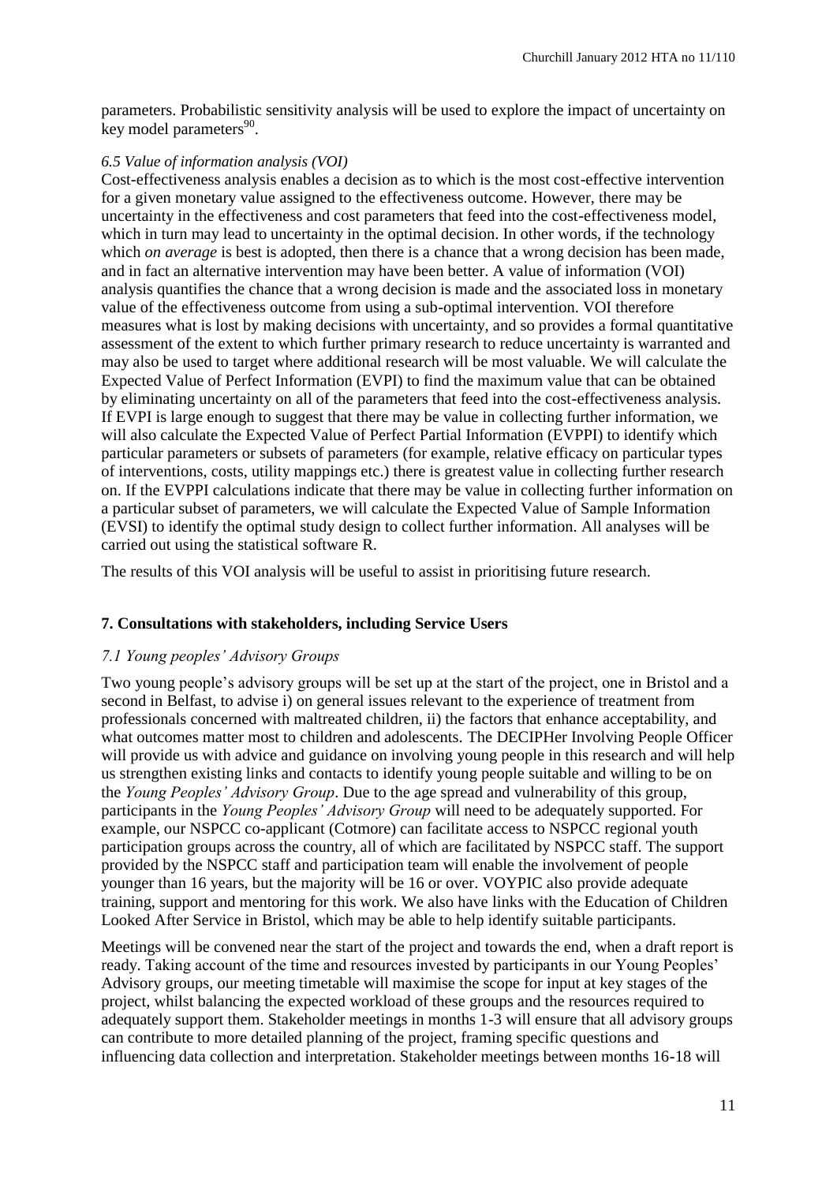parameters. Probabilistic sensitivity analysis will be used to explore the impact of uncertainty on key model parameters<sup>90</sup>.

## *6.5 Value of information analysis (VOI)*

Cost-effectiveness analysis enables a decision as to which is the most cost-effective intervention for a given monetary value assigned to the effectiveness outcome. However, there may be uncertainty in the effectiveness and cost parameters that feed into the cost-effectiveness model, which in turn may lead to uncertainty in the optimal decision. In other words, if the technology which *on average* is best is adopted, then there is a chance that a wrong decision has been made, and in fact an alternative intervention may have been better. A value of information (VOI) analysis quantifies the chance that a wrong decision is made and the associated loss in monetary value of the effectiveness outcome from using a sub-optimal intervention. VOI therefore measures what is lost by making decisions with uncertainty, and so provides a formal quantitative assessment of the extent to which further primary research to reduce uncertainty is warranted and may also be used to target where additional research will be most valuable. We will calculate the Expected Value of Perfect Information (EVPI) to find the maximum value that can be obtained by eliminating uncertainty on all of the parameters that feed into the cost-effectiveness analysis. If EVPI is large enough to suggest that there may be value in collecting further information, we will also calculate the Expected Value of Perfect Partial Information (EVPPI) to identify which particular parameters or subsets of parameters (for example, relative efficacy on particular types of interventions, costs, utility mappings etc.) there is greatest value in collecting further research on. If the EVPPI calculations indicate that there may be value in collecting further information on a particular subset of parameters, we will calculate the Expected Value of Sample Information (EVSI) to identify the optimal study design to collect further information. All analyses will be carried out using the statistical software R.

The results of this VOI analysis will be useful to assist in prioritising future research.

## **7. Consultations with stakeholders, including Service Users**

## *7.1 Young peoples' Advisory Groups*

Two young people's advisory groups will be set up at the start of the project, one in Bristol and a second in Belfast, to advise i) on general issues relevant to the experience of treatment from professionals concerned with maltreated children, ii) the factors that enhance acceptability, and what outcomes matter most to children and adolescents. The DECIPHer Involving People Officer will provide us with advice and guidance on involving young people in this research and will help us strengthen existing links and contacts to identify young people suitable and willing to be on the *Young Peoples' Advisory Group*. Due to the age spread and vulnerability of this group, participants in the *Young Peoples' Advisory Group* will need to be adequately supported. For example, our NSPCC co-applicant (Cotmore) can facilitate access to NSPCC regional youth participation groups across the country, all of which are facilitated by NSPCC staff. The support provided by the NSPCC staff and participation team will enable the involvement of people younger than 16 years, but the majority will be 16 or over. VOYPIC also provide adequate training, support and mentoring for this work. We also have links with the Education of Children Looked After Service in Bristol, which may be able to help identify suitable participants.

Meetings will be convened near the start of the project and towards the end, when a draft report is ready. Taking account of the time and resources invested by participants in our Young Peoples' Advisory groups, our meeting timetable will maximise the scope for input at key stages of the project, whilst balancing the expected workload of these groups and the resources required to adequately support them. Stakeholder meetings in months 1-3 will ensure that all advisory groups can contribute to more detailed planning of the project, framing specific questions and influencing data collection and interpretation. Stakeholder meetings between months 16-18 will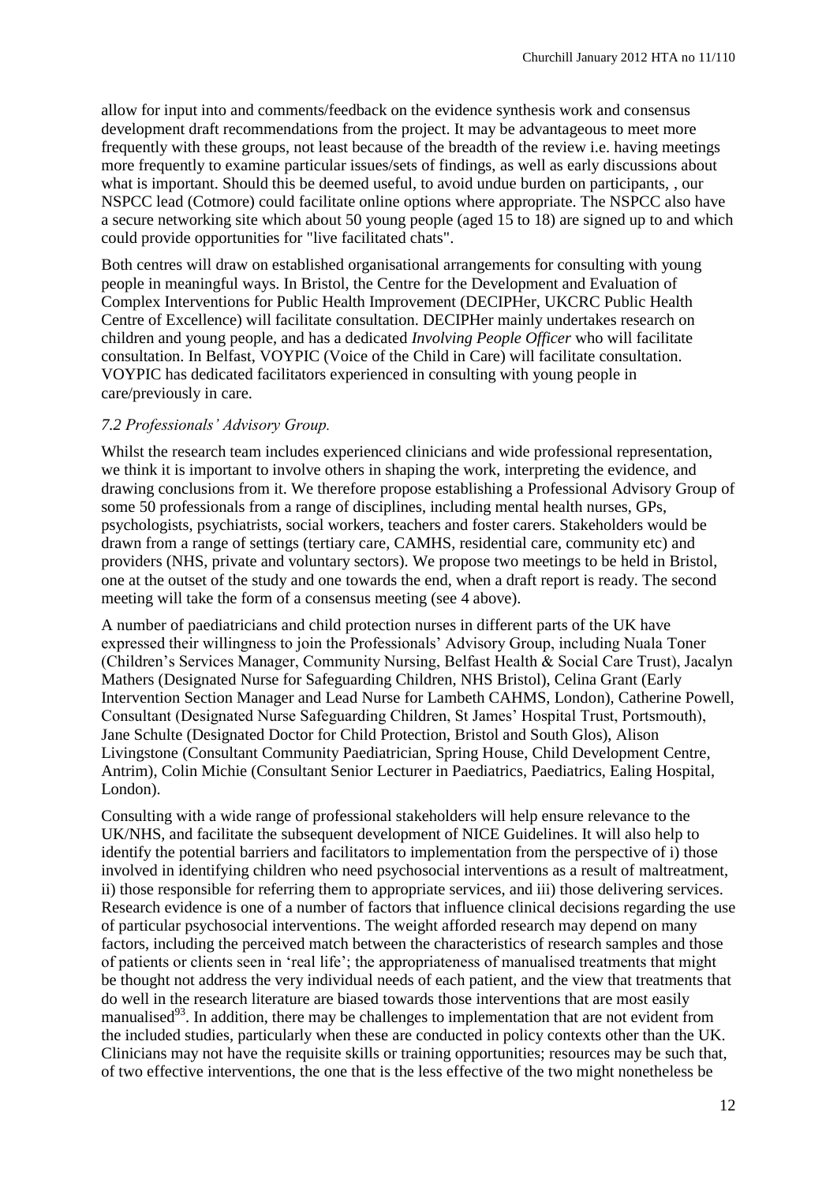allow for input into and comments/feedback on the evidence synthesis work and consensus development draft recommendations from the project. It may be advantageous to meet more frequently with these groups, not least because of the breadth of the review i.e. having meetings more frequently to examine particular issues/sets of findings, as well as early discussions about what is important. Should this be deemed useful, to avoid undue burden on participants, , our NSPCC lead (Cotmore) could facilitate online options where appropriate. The NSPCC also have a secure networking site which about 50 young people (aged 15 to 18) are signed up to and which could provide opportunities for "live facilitated chats".

Both centres will draw on established organisational arrangements for consulting with young people in meaningful ways. In Bristol, the Centre for the Development and Evaluation of Complex Interventions for Public Health Improvement (DECIPHer, UKCRC Public Health Centre of Excellence) will facilitate consultation. DECIPHer mainly undertakes research on children and young people, and has a dedicated *Involving People Officer* who will facilitate consultation. In Belfast, VOYPIC (Voice of the Child in Care) will facilitate consultation. VOYPIC has dedicated facilitators experienced in consulting with young people in care/previously in care.

## *7.2 Professionals' Advisory Group.*

Whilst the research team includes experienced clinicians and wide professional representation, we think it is important to involve others in shaping the work, interpreting the evidence, and drawing conclusions from it. We therefore propose establishing a Professional Advisory Group of some 50 professionals from a range of disciplines, including mental health nurses, GPs, psychologists, psychiatrists, social workers, teachers and foster carers. Stakeholders would be drawn from a range of settings (tertiary care, CAMHS, residential care, community etc) and providers (NHS, private and voluntary sectors). We propose two meetings to be held in Bristol, one at the outset of the study and one towards the end, when a draft report is ready. The second meeting will take the form of a consensus meeting (see 4 above).

A number of paediatricians and child protection nurses in different parts of the UK have expressed their willingness to join the Professionals' Advisory Group, including Nuala Toner (Children's Services Manager, Community Nursing, Belfast Health & Social Care Trust), Jacalyn Mathers (Designated Nurse for Safeguarding Children, NHS Bristol), Celina Grant (Early Intervention Section Manager and Lead Nurse for Lambeth CAHMS, London), Catherine Powell, Consultant (Designated Nurse Safeguarding Children, St James' Hospital Trust, Portsmouth), Jane Schulte (Designated Doctor for Child Protection, Bristol and South Glos), Alison Livingstone (Consultant Community Paediatrician, Spring House, Child Development Centre, Antrim), Colin Michie (Consultant Senior Lecturer in Paediatrics, Paediatrics, Ealing Hospital, London).

Consulting with a wide range of professional stakeholders will help ensure relevance to the UK/NHS, and facilitate the subsequent development of NICE Guidelines. It will also help to identify the potential barriers and facilitators to implementation from the perspective of i) those involved in identifying children who need psychosocial interventions as a result of maltreatment, ii) those responsible for referring them to appropriate services, and iii) those delivering services. Research evidence is one of a number of factors that influence clinical decisions regarding the use of particular psychosocial interventions. The weight afforded research may depend on many factors, including the perceived match between the characteristics of research samples and those of patients or clients seen in 'real life'; the appropriateness of manualised treatments that might be thought not address the very individual needs of each patient, and the view that treatments that do well in the research literature are biased towards those interventions that are most easily manualised<sup>93</sup>. In addition, there may be challenges to implementation that are not evident from the included studies, particularly when these are conducted in policy contexts other than the UK. Clinicians may not have the requisite skills or training opportunities; resources may be such that, of two effective interventions, the one that is the less effective of the two might nonetheless be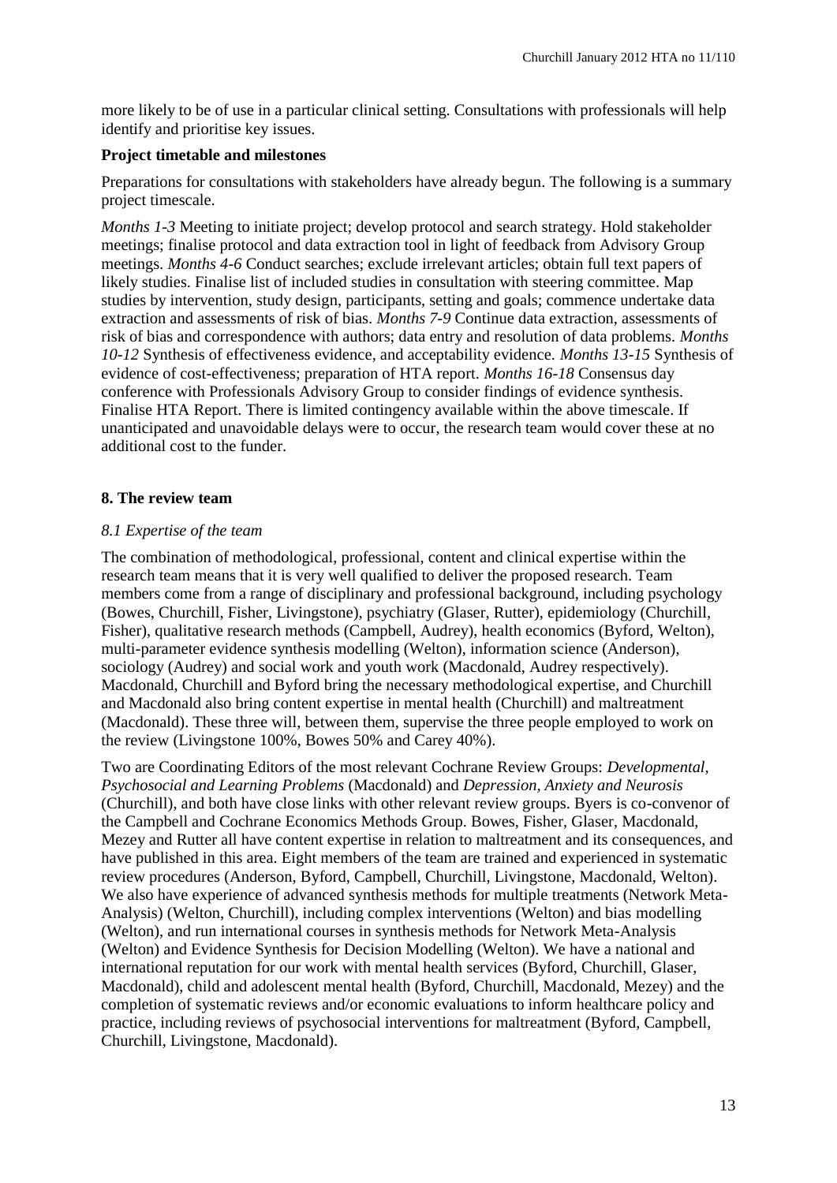more likely to be of use in a particular clinical setting. Consultations with professionals will help identify and prioritise key issues.

## **Project timetable and milestones**

Preparations for consultations with stakeholders have already begun. The following is a summary project timescale.

*Months 1-3* Meeting to initiate project; develop protocol and search strategy. Hold stakeholder meetings; finalise protocol and data extraction tool in light of feedback from Advisory Group meetings. *Months 4-6* Conduct searches; exclude irrelevant articles; obtain full text papers of likely studies. Finalise list of included studies in consultation with steering committee. Map studies by intervention, study design, participants, setting and goals; commence undertake data extraction and assessments of risk of bias. *Months 7-9* Continue data extraction, assessments of risk of bias and correspondence with authors; data entry and resolution of data problems. *Months 10-12* Synthesis of effectiveness evidence, and acceptability evidence. *Months 13-15* Synthesis of evidence of cost-effectiveness; preparation of HTA report. *Months 16-18* Consensus day conference with Professionals Advisory Group to consider findings of evidence synthesis. Finalise HTA Report. There is limited contingency available within the above timescale. If unanticipated and unavoidable delays were to occur, the research team would cover these at no additional cost to the funder.

## **8. The review team**

## *8.1 Expertise of the team*

The combination of methodological, professional, content and clinical expertise within the research team means that it is very well qualified to deliver the proposed research. Team members come from a range of disciplinary and professional background, including psychology (Bowes, Churchill, Fisher, Livingstone), psychiatry (Glaser, Rutter), epidemiology (Churchill, Fisher), qualitative research methods (Campbell, Audrey), health economics (Byford, Welton), multi-parameter evidence synthesis modelling (Welton), information science (Anderson), sociology (Audrey) and social work and youth work (Macdonald, Audrey respectively). Macdonald, Churchill and Byford bring the necessary methodological expertise, and Churchill and Macdonald also bring content expertise in mental health (Churchill) and maltreatment (Macdonald). These three will, between them, supervise the three people employed to work on the review (Livingstone 100%, Bowes 50% and Carey 40%).

Two are Coordinating Editors of the most relevant Cochrane Review Groups: *Developmental, Psychosocial and Learning Problems* (Macdonald) and *Depression, Anxiety and Neurosis* (Churchill), and both have close links with other relevant review groups. Byers is co-convenor of the Campbell and Cochrane Economics Methods Group. Bowes, Fisher, Glaser, Macdonald, Mezey and Rutter all have content expertise in relation to maltreatment and its consequences, and have published in this area. Eight members of the team are trained and experienced in systematic review procedures (Anderson, Byford, Campbell, Churchill, Livingstone, Macdonald, Welton). We also have experience of advanced synthesis methods for multiple treatments (Network Meta-Analysis) (Welton, Churchill), including complex interventions (Welton) and bias modelling (Welton), and run international courses in synthesis methods for Network Meta-Analysis (Welton) and Evidence Synthesis for Decision Modelling (Welton). We have a national and international reputation for our work with mental health services (Byford, Churchill, Glaser, Macdonald), child and adolescent mental health (Byford, Churchill, Macdonald, Mezey) and the completion of systematic reviews and/or economic evaluations to inform healthcare policy and practice, including reviews of psychosocial interventions for maltreatment (Byford, Campbell, Churchill, Livingstone, Macdonald).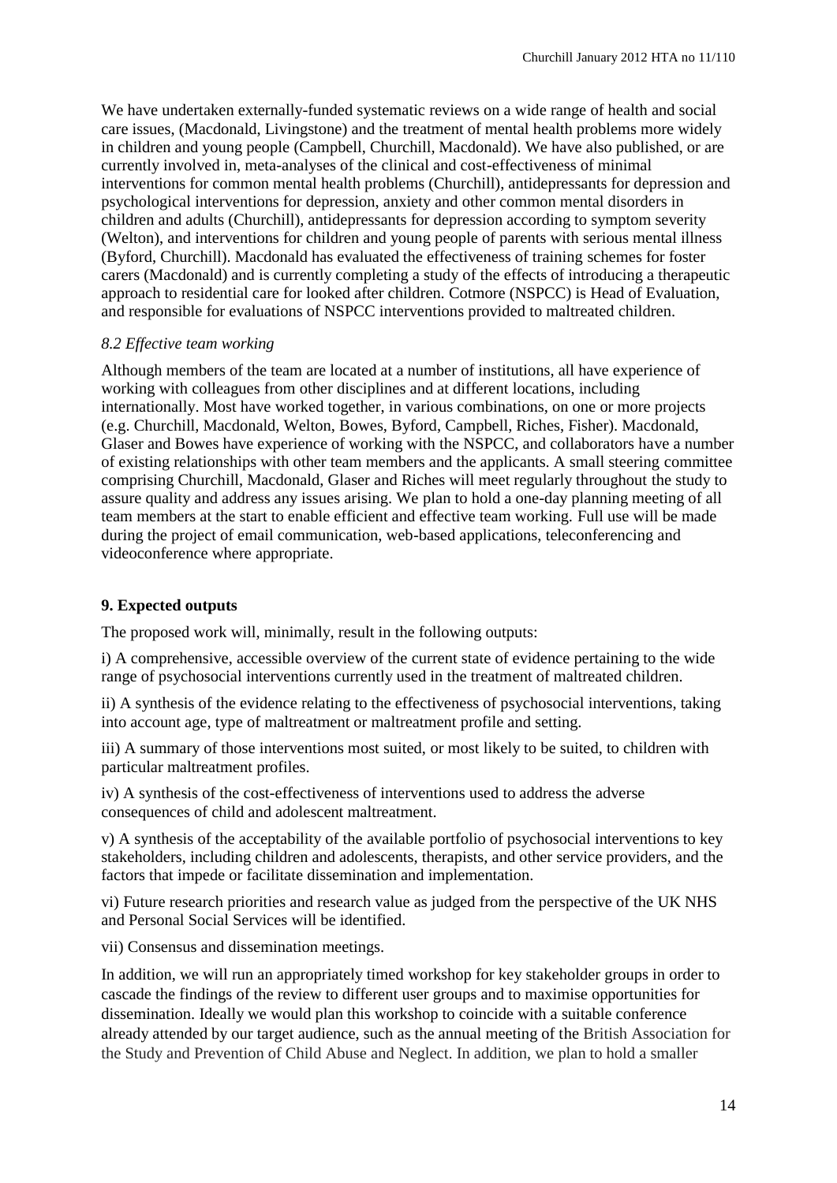We have undertaken externally-funded systematic reviews on a wide range of health and social care issues, (Macdonald, Livingstone) and the treatment of mental health problems more widely in children and young people (Campbell, Churchill, Macdonald). We have also published, or are currently involved in, meta-analyses of the clinical and cost-effectiveness of minimal interventions for common mental health problems (Churchill), antidepressants for depression and psychological interventions for depression, anxiety and other common mental disorders in children and adults (Churchill), antidepressants for depression according to symptom severity (Welton), and interventions for children and young people of parents with serious mental illness (Byford, Churchill). Macdonald has evaluated the effectiveness of training schemes for foster carers (Macdonald) and is currently completing a study of the effects of introducing a therapeutic approach to residential care for looked after children. Cotmore (NSPCC) is Head of Evaluation, and responsible for evaluations of NSPCC interventions provided to maltreated children.

## *8.2 Effective team working*

Although members of the team are located at a number of institutions, all have experience of working with colleagues from other disciplines and at different locations, including internationally. Most have worked together, in various combinations, on one or more projects (e.g. Churchill, Macdonald, Welton, Bowes, Byford, Campbell, Riches, Fisher). Macdonald, Glaser and Bowes have experience of working with the NSPCC, and collaborators have a number of existing relationships with other team members and the applicants. A small steering committee comprising Churchill, Macdonald, Glaser and Riches will meet regularly throughout the study to assure quality and address any issues arising. We plan to hold a one-day planning meeting of all team members at the start to enable efficient and effective team working. Full use will be made during the project of email communication, web-based applications, teleconferencing and videoconference where appropriate.

## **9. Expected outputs**

The proposed work will, minimally, result in the following outputs:

i) A comprehensive, accessible overview of the current state of evidence pertaining to the wide range of psychosocial interventions currently used in the treatment of maltreated children.

ii) A synthesis of the evidence relating to the effectiveness of psychosocial interventions, taking into account age, type of maltreatment or maltreatment profile and setting.

iii) A summary of those interventions most suited, or most likely to be suited, to children with particular maltreatment profiles.

iv) A synthesis of the cost-effectiveness of interventions used to address the adverse consequences of child and adolescent maltreatment.

v) A synthesis of the acceptability of the available portfolio of psychosocial interventions to key stakeholders, including children and adolescents, therapists, and other service providers, and the factors that impede or facilitate dissemination and implementation.

vi) Future research priorities and research value as judged from the perspective of the UK NHS and Personal Social Services will be identified.

vii) Consensus and dissemination meetings.

In addition, we will run an appropriately timed workshop for key stakeholder groups in order to cascade the findings of the review to different user groups and to maximise opportunities for dissemination. Ideally we would plan this workshop to coincide with a suitable conference already attended by our target audience, such as the annual meeting of the British Association for the Study and Prevention of Child Abuse and Neglect. In addition, we plan to hold a smaller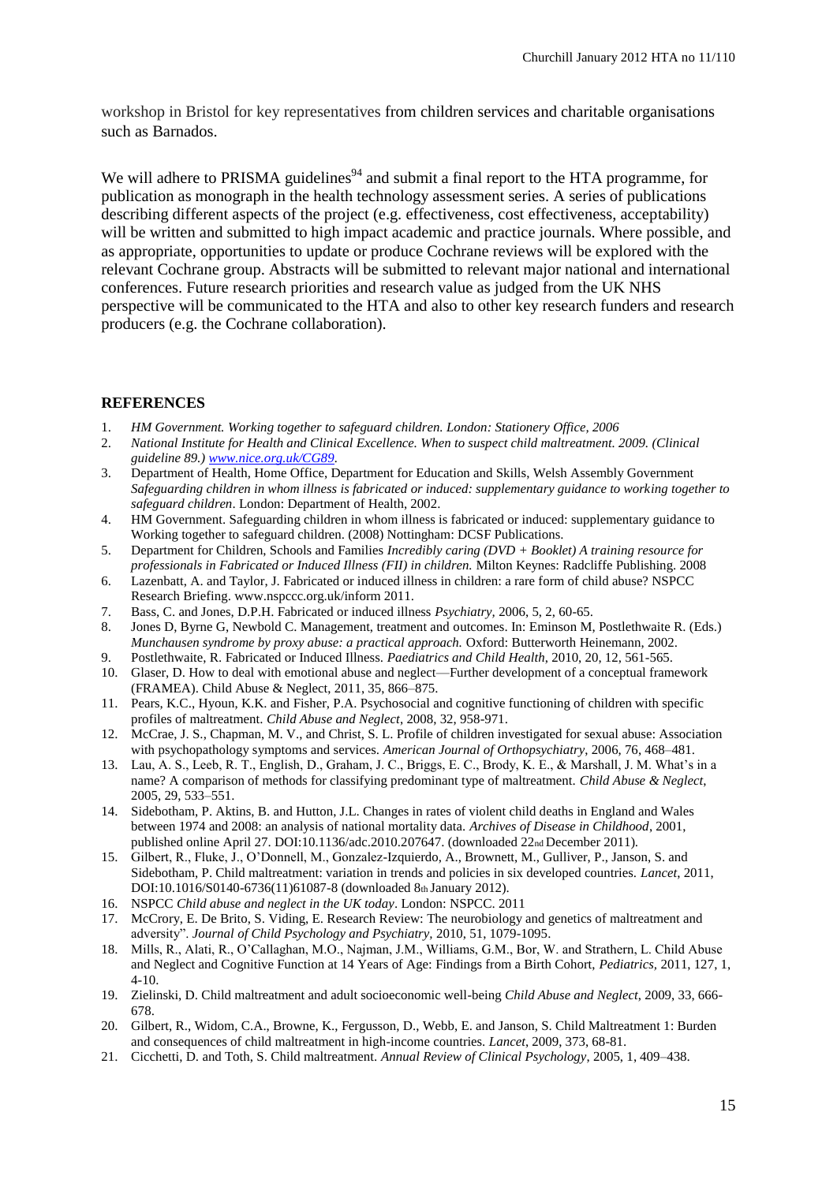workshop in Bristol for key representatives from children services and charitable organisations such as Barnados.

We will adhere to PRISMA guidelines<sup>94</sup> and submit a final report to the HTA programme, for publication as monograph in the health technology assessment series. A series of publications describing different aspects of the project (e.g. effectiveness, cost effectiveness, acceptability) will be written and submitted to high impact academic and practice journals. Where possible, and as appropriate, opportunities to update or produce Cochrane reviews will be explored with the relevant Cochrane group. Abstracts will be submitted to relevant major national and international conferences. Future research priorities and research value as judged from the UK NHS perspective will be communicated to the HTA and also to other key research funders and research producers (e.g. the Cochrane collaboration).

#### **REFERENCES**

- 1. *HM Government. Working together to safeguard children. London: Stationery Office, 2006*
- 2. *National Institute for Health and Clinical Excellence. When to suspect child maltreatment. 2009. (Clinical guideline 89.[\) www.nice.org.uk/CG89.](http://www.nice.org.uk/CG89)*
- 3. Department of Health, Home Office, Department for Education and Skills, Welsh Assembly Government *Safeguarding children in whom illness is fabricated or induced: supplementary guidance to working together to safeguard children*. London: Department of Health, 2002.
- 4. HM Government. Safeguarding children in whom illness is fabricated or induced: supplementary guidance to Working together to safeguard children. (2008) Nottingham: DCSF Publications.
- 5. Department for Children, Schools and Families *Incredibly caring (DVD + Booklet) A training resource for professionals in Fabricated or Induced Illness (FII) in children.* Milton Keynes: Radcliffe Publishing. 2008
- 6. Lazenbatt, A. and Taylor, J. Fabricated or induced illness in children: a rare form of child abuse? NSPCC Research Briefing. www.nspccc.org.uk/inform 2011.
- 7. Bass, C. and Jones, D.P.H. Fabricated or induced illness *Psychiatry,* 2006, 5, 2, 60-65.
- 8. Jones D, Byrne G, Newbold C. Management, treatment and outcomes. In: Eminson M, Postlethwaite R. (Eds.) *Munchausen syndrome by proxy abuse: a practical approach.* Oxford: Butterworth Heinemann, 2002.
- 9. Postlethwaite, R. Fabricated or Induced Illness. *Paediatrics and Child Health*, 2010, 20, 12, 561-565.
- 10. Glaser, D. How to deal with emotional abuse and neglect—Further development of a conceptual framework (FRAMEA). Child Abuse & Neglect, 2011, 35, 866–875.
- 11. Pears, K.C., Hyoun, K.K. and Fisher, P.A. Psychosocial and cognitive functioning of children with specific profiles of maltreatment. *Child Abuse and Neglect*, 2008, 32, 958-971.
- 12. McCrae, J. S., Chapman, M. V., and Christ, S. L. Profile of children investigated for sexual abuse: Association with psychopathology symptoms and services. *American Journal of Orthopsychiatry*, 2006, 76, 468–481.
- 13. Lau, A. S., Leeb, R. T., English, D., Graham, J. C., Briggs, E. C., Brody, K. E., & Marshall, J. M. What's in a name? A comparison of methods for classifying predominant type of maltreatment. *Child Abuse & Neglect*, 2005, 29, 533–551.
- 14. Sidebotham, P. Aktins, B. and Hutton, J.L. Changes in rates of violent child deaths in England and Wales between 1974 and 2008: an analysis of national mortality data. *Archives of Disease in Childhood*, 2001, published online April 27. DOI:10.1136/adc.2010.207647. (downloaded 22nd December 2011).
- 15. Gilbert, R., Fluke, J., O'Donnell, M., Gonzalez-Izquierdo, A., Brownett, M., Gulliver, P., Janson, S. and Sidebotham, P. Child maltreatment: variation in trends and policies in six developed countries. *Lancet*, 2011, DOI:10.1016/S0140-6736(11)61087-8 (downloaded 8th January 2012).
- 16. NSPCC *Child abuse and neglect in the UK today*. London: NSPCC. 2011
- 17. McCrory, E. De Brito, S. Viding, E. Research Review: The neurobiology and genetics of maltreatment and adversity". *Journal of Child Psychology and Psychiatry,* 2010, 51, 1079-1095.
- 18. Mills, R., Alati, R., O'Callaghan, M.O., Najman, J.M., Williams, G.M., Bor, W. and Strathern, L. Child Abuse and Neglect and Cognitive Function at 14 Years of Age: Findings from a Birth Cohort, *Pediatrics,* 2011, 127, 1, 4-10.
- 19. Zielinski, D. Child maltreatment and adult socioeconomic well-being *Child Abuse and Neglect*, 2009, 33, 666- 678.
- 20. Gilbert, R., Widom, C.A., Browne, K., Fergusson, D., Webb, E. and Janson, S. Child Maltreatment 1: Burden and consequences of child maltreatment in high-income countries. *Lancet*, 2009, 373, 68-81.
- 21. Cicchetti, D. and Toth, S. Child maltreatment. *Annual Review of Clinical Psychology*, 2005, 1, 409–438.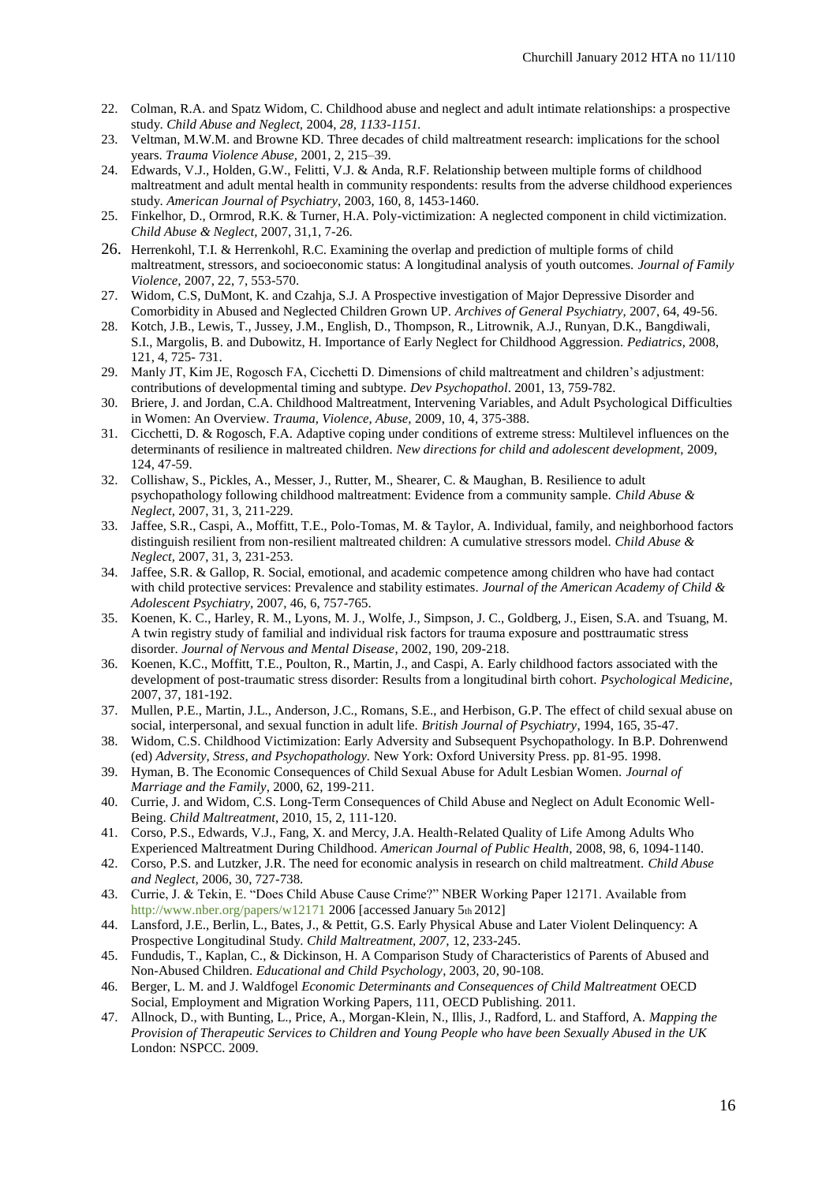- 22. Colman, R.A. and Spatz Widom, C. Childhood abuse and neglect and adult intimate relationships: a prospective study. *Child Abuse and Neglect,* 2004, *28, 1133-1151.*
- 23. Veltman, M.W.M. and Browne KD. Three decades of child maltreatment research: implications for the school years. *Trauma Violence Abuse,* 2001, 2, 215–39.
- 24. Edwards, V.J., Holden, G.W., Felitti, V.J. & Anda, R.F. Relationship between multiple forms of childhood maltreatment and adult mental health in community respondents: results from the adverse childhood experiences study. *American Journal of Psychiatry,* 2003, 160, 8, 1453-1460.
- 25. Finkelhor, D., Ormrod, R.K. & Turner, H.A. Poly-victimization: A neglected component in child victimization. *Child Abuse & Neglect,* 2007, 31,1, 7-26.
- 26. Herrenkohl, T.I. & Herrenkohl, R.C. Examining the overlap and prediction of multiple forms of child maltreatment, stressors, and socioeconomic status: A longitudinal analysis of youth outcomes. *Journal of Family Violence,* 2007, 22, 7, 553-570.
- 27. Widom, C.S, DuMont, K. and Czahja, S.J. A Prospective investigation of Major Depressive Disorder and Comorbidity in Abused and Neglected Children Grown UP. *Archives of General Psychiatry,* 2007, 64, 49-56.
- 28. Kotch, J.B., Lewis, T., Jussey, J.M., English, D., Thompson, R., Litrownik, A.J., Runyan, D.K., Bangdiwali, S.I., Margolis, B. and Dubowitz, H. Importance of Early Neglect for Childhood Aggression. *Pediatrics*, 2008, 121, 4, 725- 731.
- 29. Manly JT, Kim JE, Rogosch FA, Cicchetti D. Dimensions of child maltreatment and children's adjustment: contributions of developmental timing and subtype. *Dev Psychopathol*. 2001, 13, 759-782.
- 30. Briere, J. and Jordan, C.A. Childhood Maltreatment, Intervening Variables, and Adult Psychological Difficulties in Women: An Overview. *Trauma, Violence, Abuse,* 2009, 10, 4, 375-388.
- 31. Cicchetti, D. & Rogosch, F.A. Adaptive coping under conditions of extreme stress: Multilevel influences on the determinants of resilience in maltreated children. *New directions for child and adolescent development,* 2009, 124, 47-59.
- 32. Collishaw, S., Pickles, A., Messer, J., Rutter, M., Shearer, C. & Maughan, B. Resilience to adult psychopathology following childhood maltreatment: Evidence from a community sample. *Child Abuse & Neglect,* 2007, 31, 3, 211-229.
- 33. Jaffee, S.R., Caspi, A., Moffitt, T.E., Polo-Tomas, M. & Taylor, A. Individual, family, and neighborhood factors distinguish resilient from non-resilient maltreated children: A cumulative stressors model. *Child Abuse & Neglect,* 2007, 31, 3, 231-253.
- 34. Jaffee, S.R. & Gallop, R. Social, emotional, and academic competence among children who have had contact with child protective services: Prevalence and stability estimates. *Journal of the American Academy of Child & Adolescent Psychiatry,* 2007, 46, 6, 757-765.
- 35. Koenen, K. C., Harley, R. M., Lyons, M. J., Wolfe, J., Simpson, J. C., Goldberg, J., Eisen, S.A. and Tsuang, M. A twin registry study of familial and individual risk factors for trauma exposure and posttraumatic stress disorder. *Journal of Nervous and Mental Disease*, 2002, 190, 209-218.
- 36. Koenen, K.C., Moffitt, T.E., Poulton, R., Martin, J., and Caspi, A. Early childhood factors associated with the development of post-traumatic stress disorder: Results from a longitudinal birth cohort. *Psychological Medicine*, 2007, 37, 181-192.
- 37. Mullen, P.E., Martin, J.L., Anderson, J.C., Romans, S.E., and Herbison, G.P. The effect of child sexual abuse on social, interpersonal, and sexual function in adult life. *British Journal of Psychiatry*, 1994, 165, 35-47.
- 38. Widom, C.S. Childhood Victimization: Early Adversity and Subsequent Psychopathology. In B.P. Dohrenwend (ed) *Adversity, Stress, and Psychopathology.* New York: Oxford University Press. pp. 81-95. 1998.
- 39. Hyman, B. The Economic Consequences of Child Sexual Abuse for Adult Lesbian Women. *Journal of Marriage and the Family*, 2000, 62, 199-211.
- 40. Currie, J. and Widom, C.S. Long-Term Consequences of Child Abuse and Neglect on Adult Economic Well-Being. *Child Maltreatment*, 2010, 15, 2, 111-120.
- 41. Corso, P.S., Edwards, V.J., Fang, X. and Mercy, J.A. Health-Related Quality of Life Among Adults Who Experienced Maltreatment During Childhood. *American Journal of Public Health,* 2008, 98, 6, 1094-1140.
- 42. Corso, P.S. and Lutzker, J.R. The need for economic analysis in research on child maltreatment. *Child Abuse and Neglect,* 2006, 30, 727-738.
- 43. Currie, J. & Tekin, E. "Does Child Abuse Cause Crime?" NBER Working Paper 12171. Available from http://www.nber.org/papers/w12171 2006 [accessed January 5th 2012]
- 44. Lansford, J.E., Berlin, L., Bates, J., & Pettit, G.S. Early Physical Abuse and Later Violent Delinquency: A Prospective Longitudinal Study. *Child Maltreatment, 2007,* 12, 233-245.
- 45. Fundudis, T., Kaplan, C., & Dickinson, H. A Comparison Study of Characteristics of Parents of Abused and Non-Abused Children. *Educational and Child Psychology*, 2003, 20, 90-108.
- 46. Berger, L. M. and J. Waldfogel *Economic Determinants and Consequences of Child Maltreatment* OECD Social, Employment and Migration Working Papers, 111, OECD Publishing. 2011.
- 47. Allnock, D., with Bunting, L., Price, A., Morgan-Klein, N., Illis, J., Radford, L. and Stafford, A. *Mapping the Provision of Therapeutic Services to Children and Young People who have been Sexually Abused in the UK* London: NSPCC. 2009.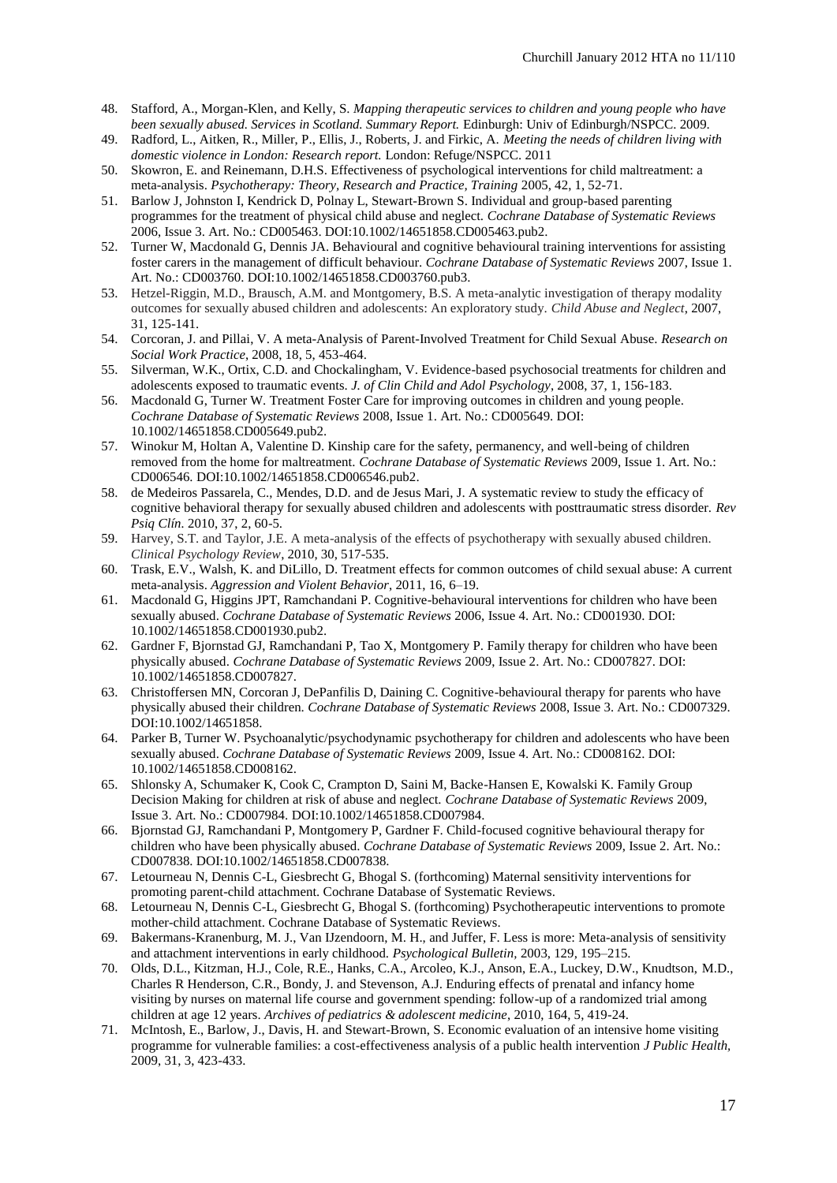- 48. Stafford, A., Morgan-Klen, and Kelly, S. *Mapping therapeutic services to children and young people who have been sexually abused. Services in Scotland. Summary Report.* Edinburgh: Univ of Edinburgh/NSPCC. 2009.
- 49. Radford, L., Aitken, R., Miller, P., Ellis, J., Roberts, J. and Firkic, A. *Meeting the needs of children living with domestic violence in London: Research report.* London: Refuge/NSPCC. 2011
- 50. Skowron, E. and Reinemann, D.H.S. Effectiveness of psychological interventions for child maltreatment: a meta-analysis. *Psychotherapy: Theory, Research and Practice, Training* 2005, 42, 1, 52-71.
- 51. Barlow J, Johnston I, Kendrick D, Polnay L, Stewart-Brown S. Individual and group-based parenting programmes for the treatment of physical child abuse and neglect. *Cochrane Database of Systematic Reviews* 2006, Issue 3. Art. No.: CD005463. DOI:10.1002/14651858.CD005463.pub2.
- 52. Turner W, Macdonald G, Dennis JA. Behavioural and cognitive behavioural training interventions for assisting foster carers in the management of difficult behaviour. *Cochrane Database of Systematic Reviews* 2007, Issue 1. Art. No.: CD003760. DOI:10.1002/14651858.CD003760.pub3.
- 53. Hetzel-Riggin, M.D., Brausch, A.M. and Montgomery, B.S. A meta-analytic investigation of therapy modality outcomes for sexually abused children and adolescents: An exploratory study. *Child Abuse and Neglect*, 2007, 31, 125-141.
- 54. Corcoran, J. and Pillai, V. A meta-Analysis of Parent-Involved Treatment for Child Sexual Abuse. *Research on Social Work Practice*, 2008, 18, 5, 453-464.
- 55. Silverman, W.K., Ortix, C.D. and Chockalingham, V. Evidence-based psychosocial treatments for children and adolescents exposed to traumatic events. *J. of Clin Child and Adol Psychology*, 2008, 37, 1, 156-183.
- 56. Macdonald G, Turner W. Treatment Foster Care for improving outcomes in children and young people. *Cochrane Database of Systematic Reviews* 2008, Issue 1. Art. No.: CD005649. DOI: 10.1002/14651858.CD005649.pub2.
- 57. Winokur M, Holtan A, Valentine D. Kinship care for the safety, permanency, and well-being of children removed from the home for maltreatment. *Cochrane Database of Systematic Reviews* 2009, Issue 1. Art. No.: CD006546. DOI:10.1002/14651858.CD006546.pub2.
- 58. de Medeiros Passarela, C., Mendes, D.D. and de Jesus Mari, J. A systematic review to study the efficacy of cognitive behavioral therapy for sexually abused children and adolescents with posttraumatic stress disorder. *Rev Psiq Clín.* 2010, 37, 2, 60-5.
- 59. Harvey, S.T. and Taylor, J.E. A meta-analysis of the effects of psychotherapy with sexually abused children. *Clinical Psychology Review*, 2010, 30, 517-535.
- 60. Trask, E.V., Walsh, K. and DiLillo, D. Treatment effects for common outcomes of child sexual abuse: A current meta-analysis. *Aggression and Violent Behavior*, 2011, 16, 6–19.
- 61. Macdonald G, Higgins JPT, Ramchandani P. Cognitive-behavioural interventions for children who have been sexually abused. *Cochrane Database of Systematic Reviews* 2006, Issue 4. Art. No.: CD001930. DOI: 10.1002/14651858.CD001930.pub2.
- 62. Gardner F, Bjornstad GJ, Ramchandani P, Tao X, Montgomery P. Family therapy for children who have been physically abused. *Cochrane Database of Systematic Reviews* 2009, Issue 2. Art. No.: CD007827. DOI: 10.1002/14651858.CD007827.
- 63. Christoffersen MN, Corcoran J, DePanfilis D, Daining C. Cognitive-behavioural therapy for parents who have physically abused their children. *Cochrane Database of Systematic Reviews* 2008, Issue 3. Art. No.: CD007329. DOI:10.1002/14651858.
- 64. Parker B, Turner W. Psychoanalytic/psychodynamic psychotherapy for children and adolescents who have been sexually abused. *Cochrane Database of Systematic Reviews* 2009, Issue 4. Art. No.: CD008162. DOI: 10.1002/14651858.CD008162.
- 65. Shlonsky A, Schumaker K, Cook C, Crampton D, Saini M, Backe-Hansen E, Kowalski K. Family Group Decision Making for children at risk of abuse and neglect. *Cochrane Database of Systematic Reviews* 2009, Issue 3. Art. No.: CD007984. DOI:10.1002/14651858.CD007984.
- 66. Bjornstad GJ, Ramchandani P, Montgomery P, Gardner F. Child-focused cognitive behavioural therapy for children who have been physically abused. *Cochrane Database of Systematic Reviews* 2009, Issue 2. Art. No.: CD007838. DOI:10.1002/14651858.CD007838.
- 67. Letourneau N, Dennis C-L, Giesbrecht G, Bhogal S. (forthcoming) Maternal sensitivity interventions for promoting parent-child attachment. Cochrane Database of Systematic Reviews.
- 68. Letourneau N, Dennis C-L, Giesbrecht G, Bhogal S. (forthcoming) Psychotherapeutic interventions to promote mother-child attachment. Cochrane Database of Systematic Reviews.
- 69. Bakermans-Kranenburg, M. J., Van IJzendoorn, M. H., and Juffer, F. Less is more: Meta-analysis of sensitivity and attachment interventions in early childhood. *Psychological Bulletin,* 2003, 129*,* 195–215.
- 70. Olds, D.L., Kitzman, H.J., Cole, R.E., Hanks, C.A., Arcoleo, K.J., Anson, E.A., Luckey, D.W., Knudtson, M.D., Charles R Henderson, C.R., Bondy, J. and Stevenson, A.J. Enduring effects of prenatal and infancy home visiting by nurses on maternal life course and government spending: follow-up of a randomized trial among children at age 12 years. *Archives of pediatrics & adolescent medicine*, 2010, 164, 5, 419-24.
- 71. McIntosh, E., Barlow, J., Davis, H. and Stewart-Brown, S. Economic evaluation of an intensive home visiting programme for vulnerable families: a cost-effectiveness analysis of a public health intervention *J Public Health,* 2009, 31, 3, 423-433.